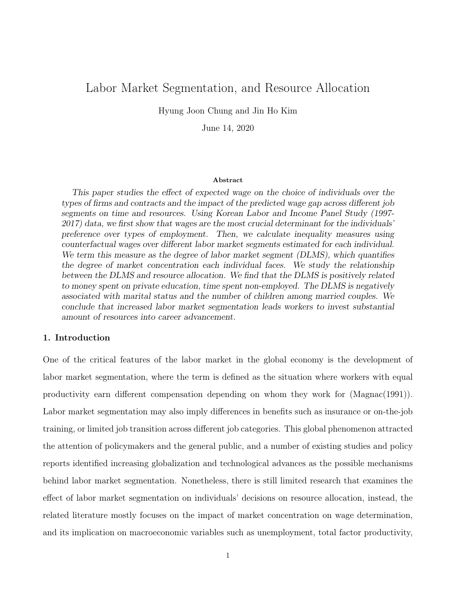# Labor Market Segmentation, and Resource Allocation

Hyung Joon Chung and Jin Ho Kim

June 14, 2020

#### Abstract

This paper studies the effect of expected wage on the choice of individuals over the types of firms and contracts and the impact of the predicted wage gap across different job segments on time and resources. Using Korean Labor and Income Panel Study (1997- 2017) data, we first show that wages are the most crucial determinant for the individuals' preference over types of employment. Then, we calculate inequality measures using counterfactual wages over different labor market segments estimated for each individual. We term this measure as the degree of labor market segment *(DLMS)*, which quantifies the degree of market concentration each individual faces. We study the relationship between the DLMS and resource allocation. We find that the DLMS is positively related to money spent on private education, time spent non-employed. The DLMS is negatively associated with marital status and the number of children among married couples. We conclude that increased labor market segmentation leads workers to invest substantial amount of resources into career advancement.

### 1. Introduction

One of the critical features of the labor market in the global economy is the development of labor market segmentation, where the term is defined as the situation where workers with equal productivity earn different compensation depending on whom they work for (Magnac(1991)). Labor market segmentation may also imply differences in benefits such as insurance or on-the-job training, or limited job transition across different job categories. This global phenomenon attracted the attention of policymakers and the general public, and a number of existing studies and policy reports identified increasing globalization and technological advances as the possible mechanisms behind labor market segmentation. Nonetheless, there is still limited research that examines the effect of labor market segmentation on individuals' decisions on resource allocation, instead, the related literature mostly focuses on the impact of market concentration on wage determination, and its implication on macroeconomic variables such as unemployment, total factor productivity,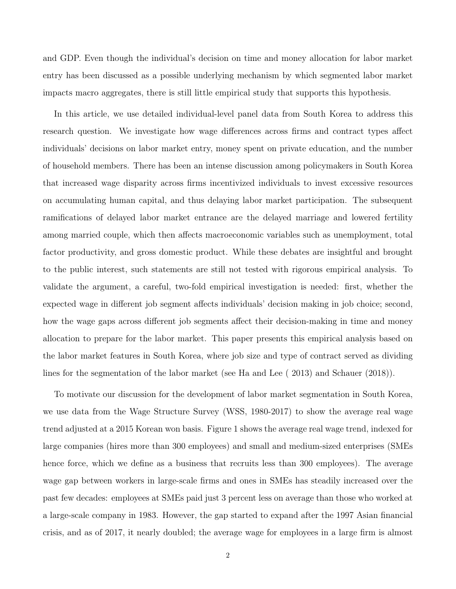and GDP. Even though the individual's decision on time and money allocation for labor market entry has been discussed as a possible underlying mechanism by which segmented labor market impacts macro aggregates, there is still little empirical study that supports this hypothesis.

In this article, we use detailed individual-level panel data from South Korea to address this research question. We investigate how wage differences across firms and contract types affect individuals' decisions on labor market entry, money spent on private education, and the number of household members. There has been an intense discussion among policymakers in South Korea that increased wage disparity across firms incentivized individuals to invest excessive resources on accumulating human capital, and thus delaying labor market participation. The subsequent ramifications of delayed labor market entrance are the delayed marriage and lowered fertility among married couple, which then affects macroeconomic variables such as unemployment, total factor productivity, and gross domestic product. While these debates are insightful and brought to the public interest, such statements are still not tested with rigorous empirical analysis. To validate the argument, a careful, two-fold empirical investigation is needed: first, whether the expected wage in different job segment affects individuals' decision making in job choice; second, how the wage gaps across different job segments affect their decision-making in time and money allocation to prepare for the labor market. This paper presents this empirical analysis based on the labor market features in South Korea, where job size and type of contract served as dividing lines for the segmentation of the labor market (see Ha and Lee ( 2013) and Schauer (2018)).

To motivate our discussion for the development of labor market segmentation in South Korea, we use data from the Wage Structure Survey (WSS, 1980-2017) to show the average real wage trend adjusted at a 2015 Korean won basis. Figure 1 shows the average real wage trend, indexed for large companies (hires more than 300 employees) and small and medium-sized enterprises (SMEs hence force, which we define as a business that recruits less than 300 employees). The average wage gap between workers in large-scale firms and ones in SMEs has steadily increased over the past few decades: employees at SMEs paid just 3 percent less on average than those who worked at a large-scale company in 1983. However, the gap started to expand after the 1997 Asian financial crisis, and as of 2017, it nearly doubled; the average wage for employees in a large firm is almost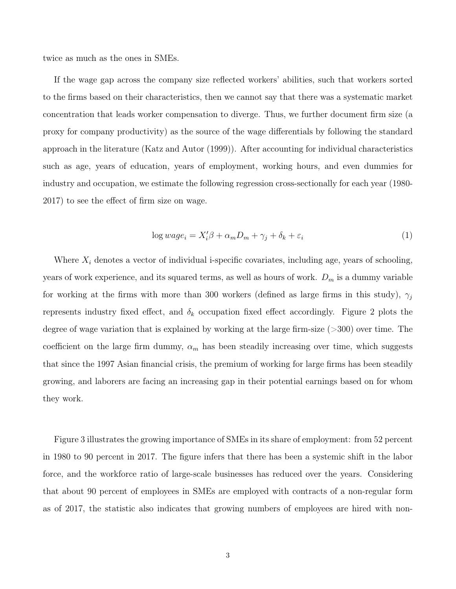twice as much as the ones in SMEs.

If the wage gap across the company size reflected workers' abilities, such that workers sorted to the firms based on their characteristics, then we cannot say that there was a systematic market concentration that leads worker compensation to diverge. Thus, we further document firm size (a proxy for company productivity) as the source of the wage differentials by following the standard approach in the literature (Katz and Autor (1999)). After accounting for individual characteristics such as age, years of education, years of employment, working hours, and even dummies for industry and occupation, we estimate the following regression cross-sectionally for each year (1980- 2017) to see the effect of firm size on wage.

$$
\log wage_i = X_i'\beta + \alpha_m D_m + \gamma_j + \delta_k + \varepsilon_i \tag{1}
$$

Where  $X_i$  denotes a vector of individual i-specific covariates, including age, years of schooling, years of work experience, and its squared terms, as well as hours of work.  $D_m$  is a dummy variable for working at the firms with more than 300 workers (defined as large firms in this study),  $\gamma_j$ represents industry fixed effect, and  $\delta_k$  occupation fixed effect accordingly. Figure 2 plots the degree of wage variation that is explained by working at the large firm-size (>300) over time. The coefficient on the large firm dummy,  $\alpha_m$  has been steadily increasing over time, which suggests that since the 1997 Asian financial crisis, the premium of working for large firms has been steadily growing, and laborers are facing an increasing gap in their potential earnings based on for whom they work.

Figure 3 illustrates the growing importance of SMEs in its share of employment: from 52 percent in 1980 to 90 percent in 2017. The figure infers that there has been a systemic shift in the labor force, and the workforce ratio of large-scale businesses has reduced over the years. Considering that about 90 percent of employees in SMEs are employed with contracts of a non-regular form as of 2017, the statistic also indicates that growing numbers of employees are hired with non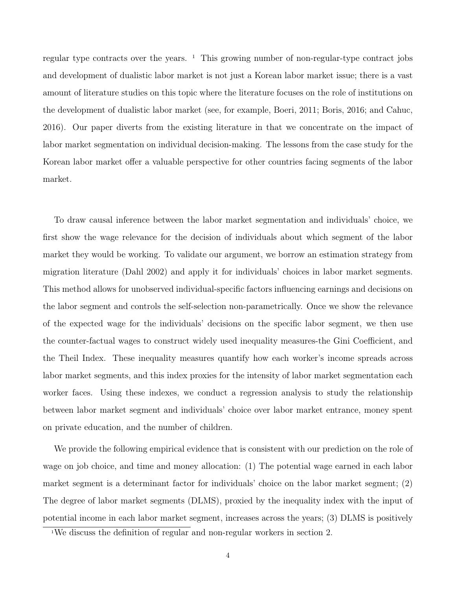regular type contracts over the years.  $\frac{1}{1}$  This growing number of non-regular-type contract jobs and development of dualistic labor market is not just a Korean labor market issue; there is a vast amount of literature studies on this topic where the literature focuses on the role of institutions on the development of dualistic labor market (see, for example, Boeri, 2011; Boris, 2016; and Cahuc, 2016). Our paper diverts from the existing literature in that we concentrate on the impact of labor market segmentation on individual decision-making. The lessons from the case study for the Korean labor market offer a valuable perspective for other countries facing segments of the labor market.

To draw causal inference between the labor market segmentation and individuals' choice, we first show the wage relevance for the decision of individuals about which segment of the labor market they would be working. To validate our argument, we borrow an estimation strategy from migration literature (Dahl 2002) and apply it for individuals' choices in labor market segments. This method allows for unobserved individual-specific factors influencing earnings and decisions on the labor segment and controls the self-selection non-parametrically. Once we show the relevance of the expected wage for the individuals' decisions on the specific labor segment, we then use the counter-factual wages to construct widely used inequality measures-the Gini Coefficient, and the Theil Index. These inequality measures quantify how each worker's income spreads across labor market segments, and this index proxies for the intensity of labor market segmentation each worker faces. Using these indexes, we conduct a regression analysis to study the relationship between labor market segment and individuals' choice over labor market entrance, money spent on private education, and the number of children.

We provide the following empirical evidence that is consistent with our prediction on the role of wage on job choice, and time and money allocation: (1) The potential wage earned in each labor market segment is a determinant factor for individuals' choice on the labor market segment; (2) The degree of labor market segments (DLMS), proxied by the inequality index with the input of potential income in each labor market segment, increases across the years; (3) DLMS is positively

<sup>&</sup>lt;sup>1</sup>We discuss the definition of regular and non-regular workers in section 2.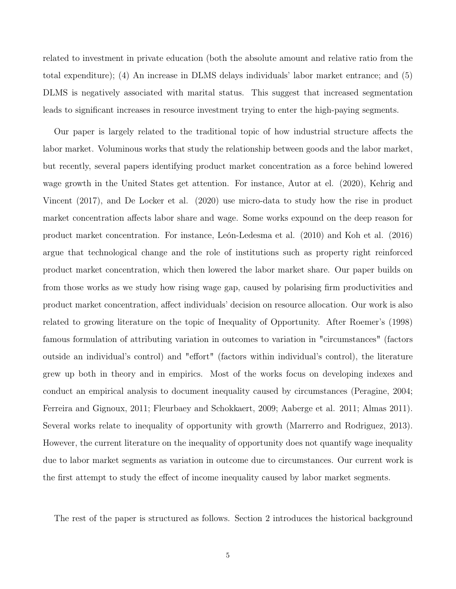related to investment in private education (both the absolute amount and relative ratio from the total expenditure); (4) An increase in DLMS delays individuals' labor market entrance; and (5) DLMS is negatively associated with marital status. This suggest that increased segmentation leads to significant increases in resource investment trying to enter the high-paying segments.

Our paper is largely related to the traditional topic of how industrial structure affects the labor market. Voluminous works that study the relationship between goods and the labor market, but recently, several papers identifying product market concentration as a force behind lowered wage growth in the United States get attention. For instance, Autor at el. (2020), Kehrig and Vincent (2017), and De Locker et al. (2020) use micro-data to study how the rise in product market concentration affects labor share and wage. Some works expound on the deep reason for product market concentration. For instance, León-Ledesma et al. (2010) and Koh et al. (2016) argue that technological change and the role of institutions such as property right reinforced product market concentration, which then lowered the labor market share. Our paper builds on from those works as we study how rising wage gap, caused by polarising firm productivities and product market concentration, affect individuals' decision on resource allocation. Our work is also related to growing literature on the topic of Inequality of Opportunity. After Roemer's (1998) famous formulation of attributing variation in outcomes to variation in "circumstances" (factors outside an individual's control) and "effort" (factors within individual's control), the literature grew up both in theory and in empirics. Most of the works focus on developing indexes and conduct an empirical analysis to document inequality caused by circumstances (Peragine, 2004; Ferreira and Gignoux, 2011; Fleurbaey and Schokkaert, 2009; Aaberge et al. 2011; Almas 2011). Several works relate to inequality of opportunity with growth (Marrerro and Rodriguez, 2013). However, the current literature on the inequality of opportunity does not quantify wage inequality due to labor market segments as variation in outcome due to circumstances. Our current work is the first attempt to study the effect of income inequality caused by labor market segments.

The rest of the paper is structured as follows. Section 2 introduces the historical background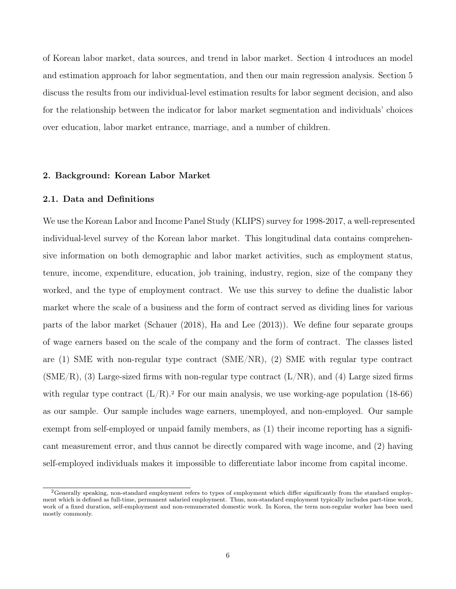of Korean labor market, data sources, and trend in labor market. Section 4 introduces an model and estimation approach for labor segmentation, and then our main regression analysis. Section 5 discuss the results from our individual-level estimation results for labor segment decision, and also for the relationship between the indicator for labor market segmentation and individuals' choices over education, labor market entrance, marriage, and a number of children.

### 2. Background: Korean Labor Market

#### 2.1. Data and Definitions

We use the Korean Labor and Income Panel Study (KLIPS) survey for 1998-2017, a well-represented individual-level survey of the Korean labor market. This longitudinal data contains comprehensive information on both demographic and labor market activities, such as employment status, tenure, income, expenditure, education, job training, industry, region, size of the company they worked, and the type of employment contract. We use this survey to define the dualistic labor market where the scale of a business and the form of contract served as dividing lines for various parts of the labor market (Schauer (2018), Ha and Lee (2013)). We define four separate groups of wage earners based on the scale of the company and the form of contract. The classes listed are (1) SME with non-regular type contract (SME/NR), (2) SME with regular type contract  $(SME/R)$ , (3) Large-sized firms with non-regular type contract  $(L/NR)$ , and (4) Large sized firms with regular type contract  $(L/R)^2$ . For our main analysis, we use working-age population (18-66) as our sample. Our sample includes wage earners, unemployed, and non-employed. Our sample exempt from self-employed or unpaid family members, as  $(1)$  their income reporting has a significant measurement error, and thus cannot be directly compared with wage income, and (2) having self-employed individuals makes it impossible to differentiate labor income from capital income.

<sup>&</sup>lt;sup>2</sup>Generally speaking, non-standard employment refers to types of employment which differ significantly from the standard employment which is defined as full-time, permanent salaried employment. Thus, non-standard employment typically includes part-time work, work of a fixed duration, self-employment and non-remunerated domestic work. In Korea, the term non-regular worker has been used mostly commonly.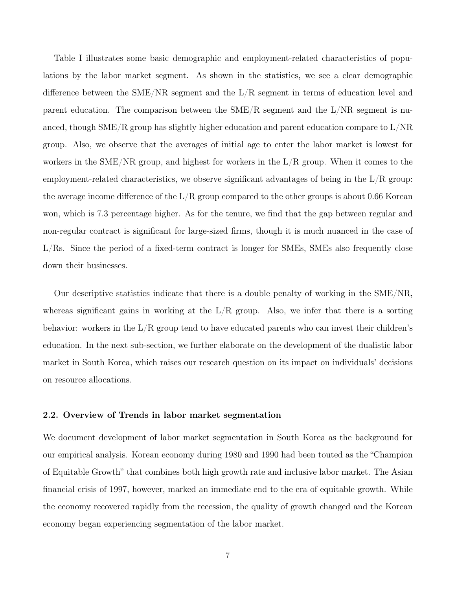Table I illustrates some basic demographic and employment-related characteristics of populations by the labor market segment. As shown in the statistics, we see a clear demographic difference between the SME/NR segment and the L/R segment in terms of education level and parent education. The comparison between the  $\text{SME/R}$  segment and the  $\text{L/NR}$  segment is nuanced, though  $\text{SME/R}$  group has slightly higher education and parent education compare to  $\text{L/NR}$ group. Also, we observe that the averages of initial age to enter the labor market is lowest for workers in the SME/NR group, and highest for workers in the  $L/R$  group. When it comes to the employment-related characteristics, we observe significant advantages of being in the  $L/R$  group: the average income difference of the  $L/R$  group compared to the other groups is about 0.66 Korean won, which is 7.3 percentage higher. As for the tenure, we find that the gap between regular and non-regular contract is significant for large-sized firms, though it is much nuanced in the case of L/Rs. Since the period of a fixed-term contract is longer for SMEs, SMEs also frequently close down their businesses.

Our descriptive statistics indicate that there is a double penalty of working in the SME/NR, whereas significant gains in working at the  $L/R$  group. Also, we infer that there is a sorting behavior: workers in the  $L/R$  group tend to have educated parents who can invest their children's education. In the next sub-section, we further elaborate on the development of the dualistic labor market in South Korea, which raises our research question on its impact on individuals' decisions on resource allocations.

#### 2.2. Overview of Trends in labor market segmentation

We document development of labor market segmentation in South Korea as the background for our empirical analysis. Korean economy during 1980 and 1990 had been touted as the "Champion of Equitable Growth" that combines both high growth rate and inclusive labor market. The Asian financial crisis of 1997, however, marked an immediate end to the era of equitable growth. While the economy recovered rapidly from the recession, the quality of growth changed and the Korean economy began experiencing segmentation of the labor market.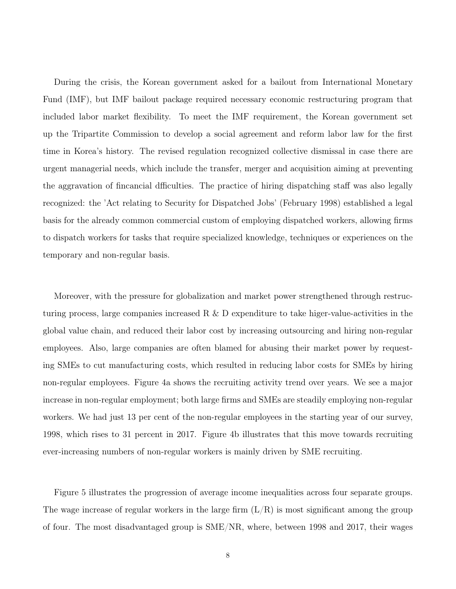During the crisis, the Korean government asked for a bailout from International Monetary Fund (IMF), but IMF bailout package required necessary economic restructuring program that included labor market flexibility. To meet the IMF requirement, the Korean government set up the Tripartite Commission to develop a social agreement and reform labor law for the first time in Korea's history. The revised regulation recognized collective dismissal in case there are urgent managerial needs, which include the transfer, merger and acquisition aiming at preventing the aggravation of fincancial dfficulties. The practice of hiring dispatching staff was also legally recognized: the 'Act relating to Security for Dispatched Jobs' (February 1998) established a legal basis for the already common commercial custom of employing dispatched workers, allowing firms to dispatch workers for tasks that require specialized knowledge, techniques or experiences on the temporary and non-regular basis.

Moreover, with the pressure for globalization and market power strengthened through restructuring process, large companies increased R & D expenditure to take higer-value-activities in the global value chain, and reduced their labor cost by increasing outsourcing and hiring non-regular employees. Also, large companies are often blamed for abusing their market power by requesting SMEs to cut manufacturing costs, which resulted in reducing labor costs for SMEs by hiring non-regular employees. Figure 4a shows the recruiting activity trend over years. We see a major increase in non-regular employment; both large firms and SMEs are steadily employing non-regular workers. We had just 13 per cent of the non-regular employees in the starting year of our survey, 1998, which rises to 31 percent in 2017. Figure 4b illustrates that this move towards recruiting ever-increasing numbers of non-regular workers is mainly driven by SME recruiting.

Figure 5 illustrates the progression of average income inequalities across four separate groups. The wage increase of regular workers in the large firm  $(L/R)$  is most significant among the group of four. The most disadvantaged group is SME/NR, where, between 1998 and 2017, their wages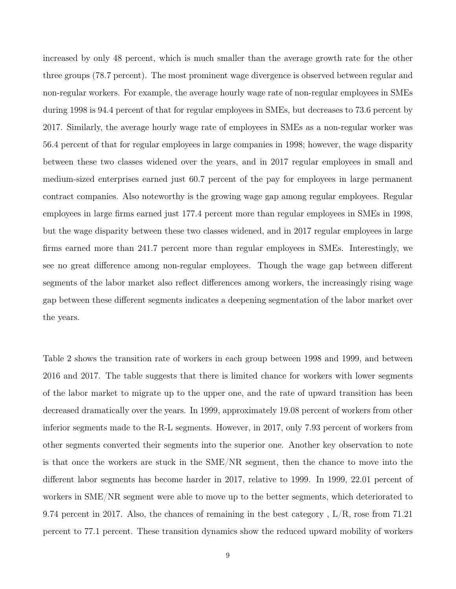increased by only 48 percent, which is much smaller than the average growth rate for the other three groups (78.7 percent). The most prominent wage divergence is observed between regular and non-regular workers. For example, the average hourly wage rate of non-regular employees in SMEs during 1998 is 94.4 percent of that for regular employees in SMEs, but decreases to 73.6 percent by 2017. Similarly, the average hourly wage rate of employees in SMEs as a non-regular worker was 56.4 percent of that for regular employees in large companies in 1998; however, the wage disparity between these two classes widened over the years, and in 2017 regular employees in small and medium-sized enterprises earned just 60.7 percent of the pay for employees in large permanent contract companies. Also noteworthy is the growing wage gap among regular employees. Regular employees in large firms earned just 177.4 percent more than regular employees in SMEs in 1998, but the wage disparity between these two classes widened, and in 2017 regular employees in large firms earned more than 241.7 percent more than regular employees in SMEs. Interestingly, we see no great difference among non-regular employees. Though the wage gap between different segments of the labor market also reflect differences among workers, the increasingly rising wage gap between these different segments indicates a deepening segmentation of the labor market over the years.

Table 2 shows the transition rate of workers in each group between 1998 and 1999, and between 2016 and 2017. The table suggests that there is limited chance for workers with lower segments of the labor market to migrate up to the upper one, and the rate of upward transition has been decreased dramatically over the years. In 1999, approximately 19.08 percent of workers from other inferior segments made to the R-L segments. However, in 2017, only 7.93 percent of workers from other segments converted their segments into the superior one. Another key observation to note is that once the workers are stuck in the SME/NR segment, then the chance to move into the different labor segments has become harder in 2017, relative to 1999. In 1999, 22.01 percent of workers in SME/NR segment were able to move up to the better segments, which deteriorated to 9.74 percent in 2017. Also, the chances of remaining in the best category,  $L/R$ , rose from 71.21 percent to 77.1 percent. These transition dynamics show the reduced upward mobility of workers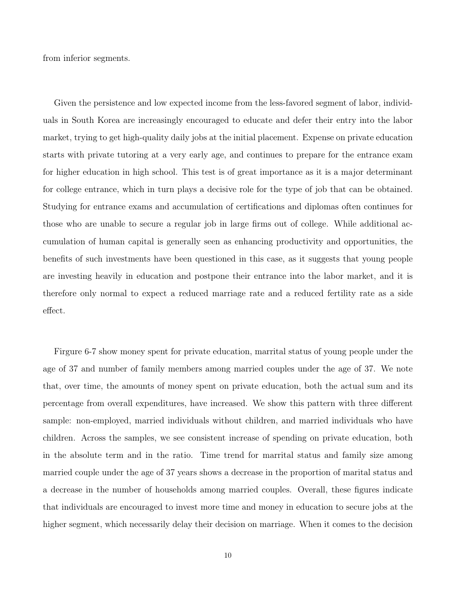from inferior segments.

Given the persistence and low expected income from the less-favored segment of labor, individuals in South Korea are increasingly encouraged to educate and defer their entry into the labor market, trying to get high-quality daily jobs at the initial placement. Expense on private education starts with private tutoring at a very early age, and continues to prepare for the entrance exam for higher education in high school. This test is of great importance as it is a major determinant for college entrance, which in turn plays a decisive role for the type of job that can be obtained. Studying for entrance exams and accumulation of certifications and diplomas often continues for those who are unable to secure a regular job in large firms out of college. While additional accumulation of human capital is generally seen as enhancing productivity and opportunities, the benefits of such investments have been questioned in this case, as it suggests that young people are investing heavily in education and postpone their entrance into the labor market, and it is therefore only normal to expect a reduced marriage rate and a reduced fertility rate as a side effect.

Firgure 6-7 show money spent for private education, marrital status of young people under the age of 37 and number of family members among married couples under the age of 37. We note that, over time, the amounts of money spent on private education, both the actual sum and its percentage from overall expenditures, have increased. We show this pattern with three different sample: non-employed, married individuals without children, and married individuals who have children. Across the samples, we see consistent increase of spending on private education, both in the absolute term and in the ratio. Time trend for marrital status and family size among married couple under the age of 37 years shows a decrease in the proportion of marital status and a decrease in the number of households among married couples. Overall, these figures indicate that individuals are encouraged to invest more time and money in education to secure jobs at the higher segment, which necessarily delay their decision on marriage. When it comes to the decision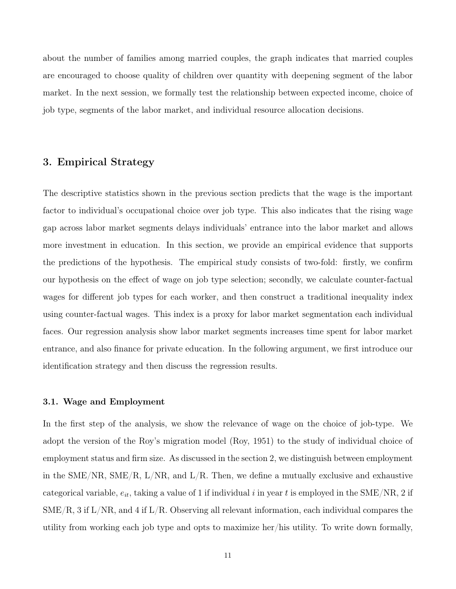about the number of families among married couples, the graph indicates that married couples are encouraged to choose quality of children over quantity with deepening segment of the labor market. In the next session, we formally test the relationship between expected income, choice of job type, segments of the labor market, and individual resource allocation decisions.

### 3. Empirical Strategy

The descriptive statistics shown in the previous section predicts that the wage is the important factor to individual's occupational choice over job type. This also indicates that the rising wage gap across labor market segments delays individuals' entrance into the labor market and allows more investment in education. In this section, we provide an empirical evidence that supports the predictions of the hypothesis. The empirical study consists of two-fold: firstly, we confirm our hypothesis on the effect of wage on job type selection; secondly, we calculate counter-factual wages for different job types for each worker, and then construct a traditional inequality index using counter-factual wages. This index is a proxy for labor market segmentation each individual faces. Our regression analysis show labor market segments increases time spent for labor market entrance, and also finance for private education. In the following argument, we first introduce our identification strategy and then discuss the regression results.

### 3.1. Wage and Employment

In the first step of the analysis, we show the relevance of wage on the choice of job-type. We adopt the version of the Roy's migration model (Roy, 1951) to the study of individual choice of employment status and firm size. As discussed in the section 2, we distinguish between employment in the SME/NR, SME/R, L/NR, and  $L/R$ . Then, we define a mutually exclusive and exhaustive categorical variable,  $e_{it}$ , taking a value of 1 if individual i in year t is employed in the SME/NR, 2 if SME/R, 3 if L/NR, and 4 if L/R. Observing all relevant information, each individual compares the utility from working each job type and opts to maximize her/his utility. To write down formally,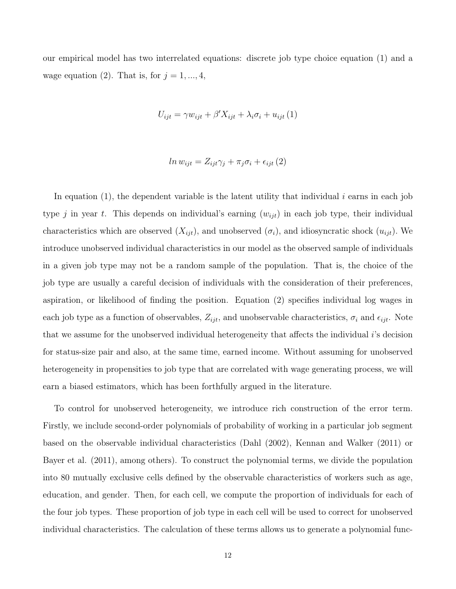our empirical model has two interrelated equations: discrete job type choice equation (1) and a wage equation (2). That is, for  $j = 1, ..., 4$ ,

$$
U_{ijt} = \gamma w_{ijt} + \beta' X_{ijt} + \lambda_i \sigma_i + u_{ijt} (1)
$$

$$
ln w_{ijt} = Z_{ijt}\gamma_j + \pi_j \sigma_i + \epsilon_{ijt} (2)
$$

In equation  $(1)$ , the dependent variable is the latent utility that individual i earns in each job type j in year t. This depends on individual's earning  $(w_{ijt})$  in each job type, their individual characteristics which are observed  $(X_{ijt})$ , and unobserved  $(\sigma_i)$ , and idiosyncratic shock  $(u_{ijt})$ . We introduce unobserved individual characteristics in our model as the observed sample of individuals in a given job type may not be a random sample of the population. That is, the choice of the job type are usually a careful decision of individuals with the consideration of their preferences, aspiration, or likelihood of finding the position. Equation (2) specifies individual log wages in each job type as a function of observables,  $Z_{ijt}$ , and unobservable characteristics,  $\sigma_i$  and  $\epsilon_{ijt}$ . Note that we assume for the unobserved individual heterogeneity that affects the individual i's decision for status-size pair and also, at the same time, earned income. Without assuming for unobserved heterogeneity in propensities to job type that are correlated with wage generating process, we will earn a biased estimators, which has been forthfully argued in the literature.

To control for unobserved heterogeneity, we introduce rich construction of the error term. Firstly, we include second-order polynomials of probability of working in a particular job segment based on the observable individual characteristics (Dahl (2002), Kennan and Walker (2011) or Bayer et al. (2011), among others). To construct the polynomial terms, we divide the population into 80 mutually exclusive cells defined by the observable characteristics of workers such as age, education, and gender. Then, for each cell, we compute the proportion of individuals for each of the four job types. These proportion of job type in each cell will be used to correct for unobserved individual characteristics. The calculation of these terms allows us to generate a polynomial func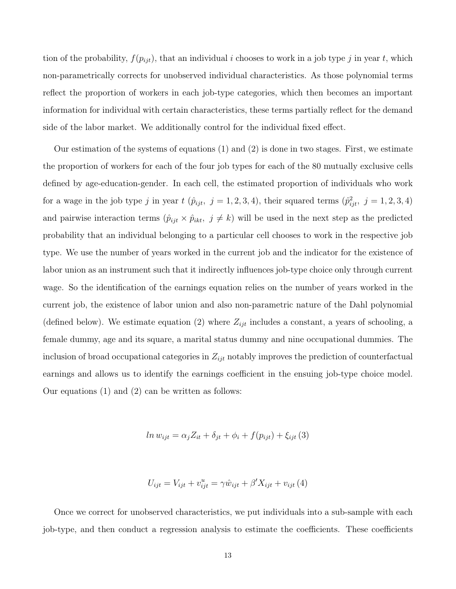tion of the probability,  $f(p_{ijt})$ , that an individual i chooses to work in a job type j in year t, which non-parametrically corrects for unobserved individual characteristics. As those polynomial terms reflect the proportion of workers in each job-type categories, which then becomes an important information for individual with certain characteristics, these terms partially reflect for the demand side of the labor market. We additionally control for the individual fixed effect.

Our estimation of the systems of equations (1) and (2) is done in two stages. First, we estimate the proportion of workers for each of the four job types for each of the 80 mutually exclusive cells defined by age-education-gender. In each cell, the estimated proportion of individuals who work for a wage in the job type j in year  $t$   $(\hat{p}_{ijt}, j = 1, 2, 3, 4)$ , their squared terms  $(\hat{p}_{ijt}^2, j = 1, 2, 3, 4)$ and pairwise interaction terms  $(\hat{p}_{ijt} \times \hat{p}_{ikt}, j \neq k)$  will be used in the next step as the predicted probability that an individual belonging to a particular cell chooses to work in the respective job type. We use the number of years worked in the current job and the indicator for the existence of labor union as an instrument such that it indirectly influences job-type choice only through current wage. So the identification of the earnings equation relies on the number of years worked in the current job, the existence of labor union and also non-parametric nature of the Dahl polynomial (defined below). We estimate equation (2) where  $Z_{ijt}$  includes a constant, a years of schooling, a female dummy, age and its square, a marital status dummy and nine occupational dummies. The inclusion of broad occupational categories in  $Z_{ijt}$  notably improves the prediction of counterfactual earnings and allows us to identify the earnings coefficient in the ensuing job-type choice model. Our equations (1) and (2) can be written as follows:

$$
ln w_{ijt} = \alpha_j Z_{it} + \delta_{jt} + \phi_i + f(p_{ijt}) + \xi_{ijt} (3)
$$

$$
U_{ijt} = V_{ijt} + v_{ijt}^u = \gamma \hat{w}_{ijt} + \beta' X_{ijt} + v_{ijt} (4)
$$

Once we correct for unobserved characteristics, we put individuals into a sub-sample with each job-type, and then conduct a regression analysis to estimate the coefficients. These coefficients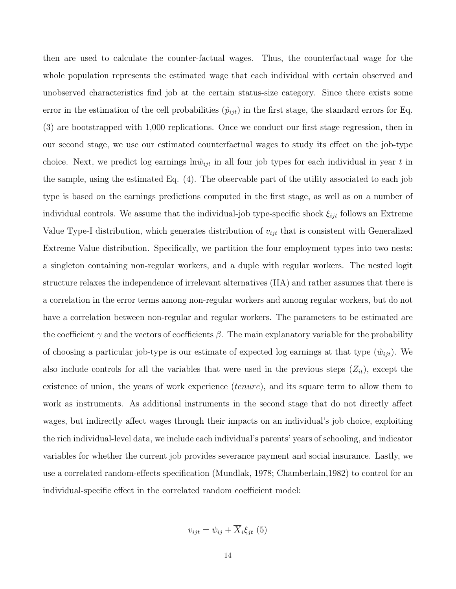then are used to calculate the counter-factual wages. Thus, the counterfactual wage for the whole population represents the estimated wage that each individual with certain observed and unobserved characteristics find job at the certain status-size category. Since there exists some error in the estimation of the cell probabilities  $(\hat{p}_{ijt})$  in the first stage, the standard errors for Eq. (3) are bootstrapped with 1,000 replications. Once we conduct our first stage regression, then in our second stage, we use our estimated counterfactual wages to study its effect on the job-type choice. Next, we predict log earnings  $\ln \hat{w}_{ijt}$  in all four job types for each individual in year t in the sample, using the estimated Eq. (4). The observable part of the utility associated to each job type is based on the earnings predictions computed in the first stage, as well as on a number of individual controls. We assume that the individual-job type-specific shock  $\xi_{ijt}$  follows an Extreme Value Type-I distribution, which generates distribution of  $v_{ijt}$  that is consistent with Generalized Extreme Value distribution. Specifically, we partition the four employment types into two nests: a singleton containing non-regular workers, and a duple with regular workers. The nested logit structure relaxes the independence of irrelevant alternatives (IIA) and rather assumes that there is a correlation in the error terms among non-regular workers and among regular workers, but do not have a correlation between non-regular and regular workers. The parameters to be estimated are the coefficient  $\gamma$  and the vectors of coefficients  $\beta$ . The main explanatory variable for the probability of choosing a particular job-type is our estimate of expected log earnings at that type  $(\hat{w}_{ijt})$ . We also include controls for all the variables that were used in the previous steps  $(Z_{it})$ , except the existence of union, the years of work experience *(tenure)*, and its square term to allow them to work as instruments. As additional instruments in the second stage that do not directly affect wages, but indirectly affect wages through their impacts on an individual's job choice, exploiting the rich individual-level data, we include each individual's parents' years of schooling, and indicator variables for whether the current job provides severance payment and social insurance. Lastly, we use a correlated random-effects specification (Mundlak, 1978; Chamberlain,1982) to control for an individual-specific effect in the correlated random coefficient model:

$$
v_{ijt} = \psi_{ij} + X_i \xi_{jt} (5)
$$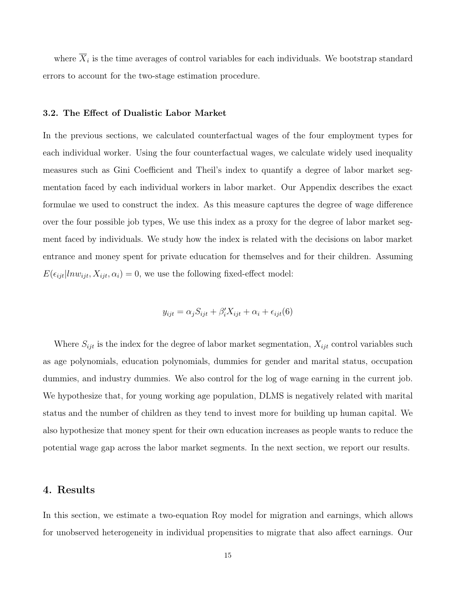where  $X_i$  is the time averages of control variables for each individuals. We bootstrap standard errors to account for the two-stage estimation procedure.

#### 3.2. The Effect of Dualistic Labor Market

In the previous sections, we calculated counterfactual wages of the four employment types for each individual worker. Using the four counterfactual wages, we calculate widely used inequality measures such as Gini Coefficient and Theil's index to quantify a degree of labor market segmentation faced by each individual workers in labor market. Our Appendix describes the exact formulae we used to construct the index. As this measure captures the degree of wage difference over the four possible job types, We use this index as a proxy for the degree of labor market segment faced by individuals. We study how the index is related with the decisions on labor market entrance and money spent for private education for themselves and for their children. Assuming  $E(\epsilon_{ijt}|ln w_{ijt}, X_{ijt}, \alpha_i) = 0$ , we use the following fixed-effect model:

$$
y_{ijt} = \alpha_j S_{ijt} + \beta'_i X_{ijt} + \alpha_i + \epsilon_{ijt}(6)
$$

Where  $S_{ijt}$  is the index for the degree of labor market segmentation,  $X_{ijt}$  control variables such as age polynomials, education polynomials, dummies for gender and marital status, occupation dummies, and industry dummies. We also control for the log of wage earning in the current job. We hypothesize that, for young working age population, DLMS is negatively related with marital status and the number of children as they tend to invest more for building up human capital. We also hypothesize that money spent for their own education increases as people wants to reduce the potential wage gap across the labor market segments. In the next section, we report our results.

### 4. Results

In this section, we estimate a two-equation Roy model for migration and earnings, which allows for unobserved heterogeneity in individual propensities to migrate that also affect earnings. Our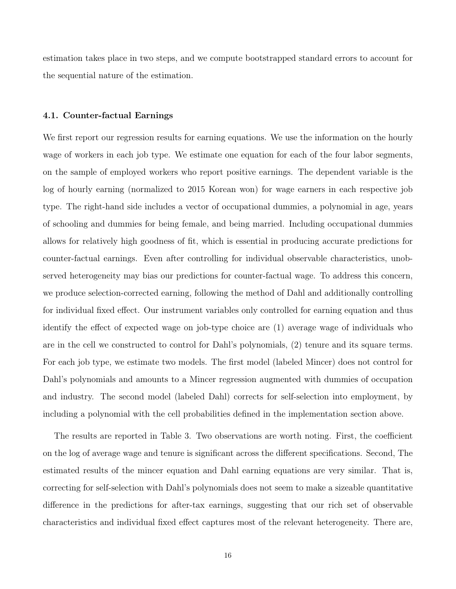estimation takes place in two steps, and we compute bootstrapped standard errors to account for the sequential nature of the estimation.

#### 4.1. Counter-factual Earnings

We first report our regression results for earning equations. We use the information on the hourly wage of workers in each job type. We estimate one equation for each of the four labor segments, on the sample of employed workers who report positive earnings. The dependent variable is the log of hourly earning (normalized to 2015 Korean won) for wage earners in each respective job type. The right-hand side includes a vector of occupational dummies, a polynomial in age, years of schooling and dummies for being female, and being married. Including occupational dummies allows for relatively high goodness of fit, which is essential in producing accurate predictions for counter-factual earnings. Even after controlling for individual observable characteristics, unobserved heterogeneity may bias our predictions for counter-factual wage. To address this concern, we produce selection-corrected earning, following the method of Dahl and additionally controlling for individual fixed effect. Our instrument variables only controlled for earning equation and thus identify the effect of expected wage on job-type choice are (1) average wage of individuals who are in the cell we constructed to control for Dahl's polynomials, (2) tenure and its square terms. For each job type, we estimate two models. The first model (labeled Mincer) does not control for Dahl's polynomials and amounts to a Mincer regression augmented with dummies of occupation and industry. The second model (labeled Dahl) corrects for self-selection into employment, by including a polynomial with the cell probabilities defined in the implementation section above.

The results are reported in Table 3. Two observations are worth noting. First, the coefficient on the log of average wage and tenure is significant across the different specifications. Second, The estimated results of the mincer equation and Dahl earning equations are very similar. That is, correcting for self-selection with Dahl's polynomials does not seem to make a sizeable quantitative difference in the predictions for after-tax earnings, suggesting that our rich set of observable characteristics and individual fixed effect captures most of the relevant heterogeneity. There are,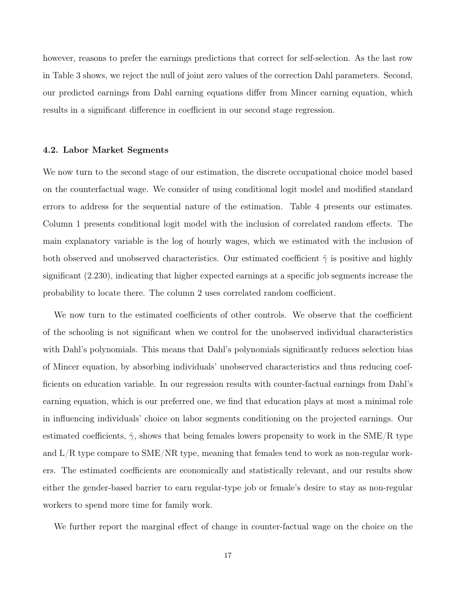however, reasons to prefer the earnings predictions that correct for self-selection. As the last row in Table 3 shows, we reject the null of joint zero values of the correction Dahl parameters. Second, our predicted earnings from Dahl earning equations differ from Mincer earning equation, which results in a significant difference in coefficient in our second stage regression.

#### 4.2. Labor Market Segments

We now turn to the second stage of our estimation, the discrete occupational choice model based on the counterfactual wage. We consider of using conditional logit model and modified standard errors to address for the sequential nature of the estimation. Table 4 presents our estimates. Column 1 presents conditional logit model with the inclusion of correlated random effects. The main explanatory variable is the log of hourly wages, which we estimated with the inclusion of both observed and unobserved characteristics. Our estimated coefficient  $\hat{\gamma}$  is positive and highly significant (2.230), indicating that higher expected earnings at a specific job segments increase the probability to locate there. The column 2 uses correlated random coefficient.

We now turn to the estimated coefficients of other controls. We observe that the coefficient of the schooling is not significant when we control for the unobserved individual characteristics with Dahl's polynomials. This means that Dahl's polynomials significantly reduces selection bias of Mincer equation, by absorbing individuals' unobserved characteristics and thus reducing coefficients on education variable. In our regression results with counter-factual earnings from Dahl's earning equation, which is our preferred one, we find that education plays at most a minimal role in influencing individuals' choice on labor segments conditioning on the projected earnings. Our estimated coefficients,  $\hat{\gamma}$ , shows that being females lowers propensity to work in the SME/R type and L/R type compare to SME/NR type, meaning that females tend to work as non-regular workers. The estimated coefficients are economically and statistically relevant, and our results show either the gender-based barrier to earn regular-type job or female's desire to stay as non-regular workers to spend more time for family work.

We further report the marginal effect of change in counter-factual wage on the choice on the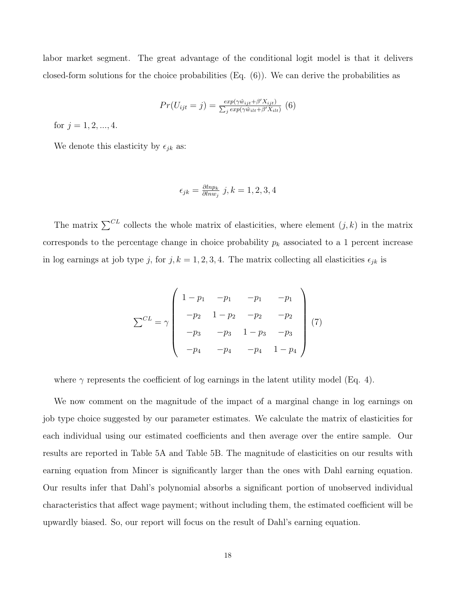labor market segment. The great advantage of the conditional logit model is that it delivers closed-form solutions for the choice probabilities (Eq. (6)). We can derive the probabilities as

$$
Pr(U_{ijt} = j) = \frac{exp(\gamma \hat{w}_{ijt} + \beta' X_{ijt})}{\sum_{j} exp(\gamma \hat{w}_{ilt} + \beta' X_{ilt})}
$$
(6)

for  $j = 1, 2, ..., 4$ .

We denote this elasticity by  $\epsilon_{jk}$  as:

$$
\epsilon_{jk} = \frac{\partial l n p_k}{\partial l n w_j} \; j, k = 1, 2, 3, 4
$$

The matrix  $\sum^{CL}$  collects the whole matrix of elasticities, where element  $(j, k)$  in the matrix corresponds to the percentage change in choice probability  $p_k$  associated to a 1 percent increase in log earnings at job type j, for j,  $k = 1, 2, 3, 4$ . The matrix collecting all elasticities  $\epsilon_{jk}$  is

$$
\sum^{CL} = \gamma \begin{pmatrix} 1 - p_1 & -p_1 & -p_1 & -p_1 \\ -p_2 & 1 - p_2 & -p_2 & -p_2 \\ -p_3 & -p_3 & 1 - p_3 & -p_3 \\ -p_4 & -p_4 & -p_4 & 1 - p_4 \end{pmatrix} (7)
$$

where  $\gamma$  represents the coefficient of log earnings in the latent utility model (Eq. 4).

We now comment on the magnitude of the impact of a marginal change in log earnings on job type choice suggested by our parameter estimates. We calculate the matrix of elasticities for each individual using our estimated coefficients and then average over the entire sample. Our results are reported in Table 5A and Table 5B. The magnitude of elasticities on our results with earning equation from Mincer is significantly larger than the ones with Dahl earning equation. Our results infer that Dahl's polynomial absorbs a significant portion of unobserved individual characteristics that affect wage payment; without including them, the estimated coefficient will be upwardly biased. So, our report will focus on the result of Dahl's earning equation.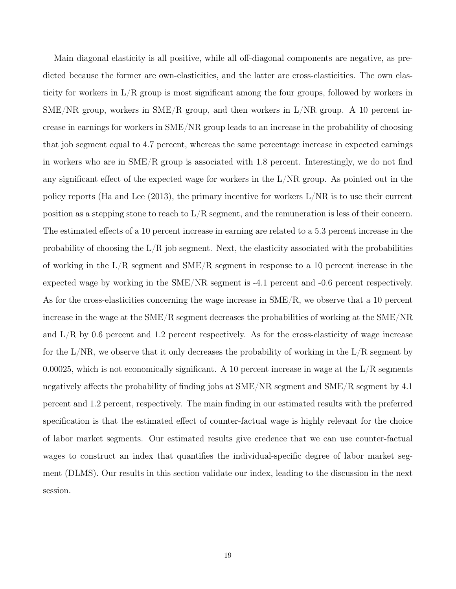Main diagonal elasticity is all positive, while all off-diagonal components are negative, as predicted because the former are own-elasticities, and the latter are cross-elasticities. The own elasticity for workers in  $L/R$  group is most significant among the four groups, followed by workers in  $SME/NR$  group, workers in  $SME/R$  group, and then workers in  $L/NR$  group. A 10 percent increase in earnings for workers in SME/NR group leads to an increase in the probability of choosing that job segment equal to 4.7 percent, whereas the same percentage increase in expected earnings in workers who are in SME/R group is associated with 1.8 percent. Interestingly, we do not find any significant effect of the expected wage for workers in the  $L/NR$  group. As pointed out in the policy reports (Ha and Lee (2013), the primary incentive for workers L/NR is to use their current position as a stepping stone to reach to  $L/R$  segment, and the remuneration is less of their concern. The estimated effects of a 10 percent increase in earning are related to a 5.3 percent increase in the probability of choosing the  $L/R$  job segment. Next, the elasticity associated with the probabilities of working in the  $L/R$  segment and  $SME/R$  segment in response to a 10 percent increase in the expected wage by working in the SME/NR segment is -4.1 percent and -0.6 percent respectively. As for the cross-elasticities concerning the wage increase in  $\text{SME/R}$ , we observe that a 10 percent increase in the wage at the SME/R segment decreases the probabilities of working at the SME/NR and  $L/R$  by 0.6 percent and 1.2 percent respectively. As for the cross-elasticity of wage increase for the  $L/NR$ , we observe that it only decreases the probability of working in the  $L/R$  segment by 0.00025, which is not economically significant. A 10 percent increase in wage at the  $L/R$  segments negatively affects the probability of finding jobs at SME/NR segment and SME/R segment by 4.1 percent and 1.2 percent, respectively. The main finding in our estimated results with the preferred specification is that the estimated effect of counter-factual wage is highly relevant for the choice of labor market segments. Our estimated results give credence that we can use counter-factual wages to construct an index that quantifies the individual-specific degree of labor market segment (DLMS). Our results in this section validate our index, leading to the discussion in the next session.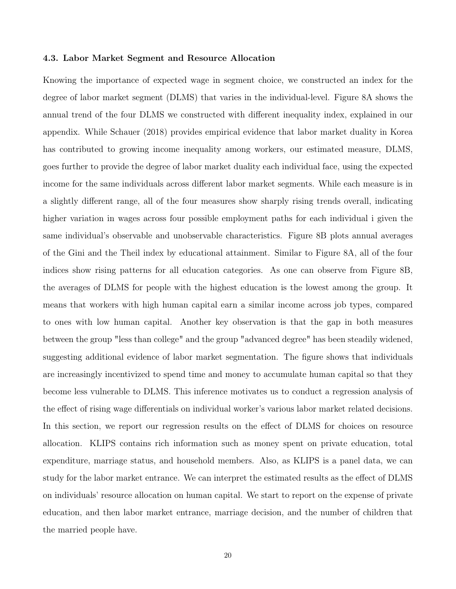#### 4.3. Labor Market Segment and Resource Allocation

Knowing the importance of expected wage in segment choice, we constructed an index for the degree of labor market segment (DLMS) that varies in the individual-level. Figure 8A shows the annual trend of the four DLMS we constructed with different inequality index, explained in our appendix. While Schauer (2018) provides empirical evidence that labor market duality in Korea has contributed to growing income inequality among workers, our estimated measure, DLMS, goes further to provide the degree of labor market duality each individual face, using the expected income for the same individuals across different labor market segments. While each measure is in a slightly different range, all of the four measures show sharply rising trends overall, indicating higher variation in wages across four possible employment paths for each individual i given the same individual's observable and unobservable characteristics. Figure 8B plots annual averages of the Gini and the Theil index by educational attainment. Similar to Figure 8A, all of the four indices show rising patterns for all education categories. As one can observe from Figure 8B, the averages of DLMS for people with the highest education is the lowest among the group. It means that workers with high human capital earn a similar income across job types, compared to ones with low human capital. Another key observation is that the gap in both measures between the group "less than college" and the group "advanced degree" has been steadily widened, suggesting additional evidence of labor market segmentation. The figure shows that individuals are increasingly incentivized to spend time and money to accumulate human capital so that they become less vulnerable to DLMS. This inference motivates us to conduct a regression analysis of the effect of rising wage differentials on individual worker's various labor market related decisions. In this section, we report our regression results on the effect of DLMS for choices on resource allocation. KLIPS contains rich information such as money spent on private education, total expenditure, marriage status, and household members. Also, as KLIPS is a panel data, we can study for the labor market entrance. We can interpret the estimated results as the effect of DLMS on individuals' resource allocation on human capital. We start to report on the expense of private education, and then labor market entrance, marriage decision, and the number of children that the married people have.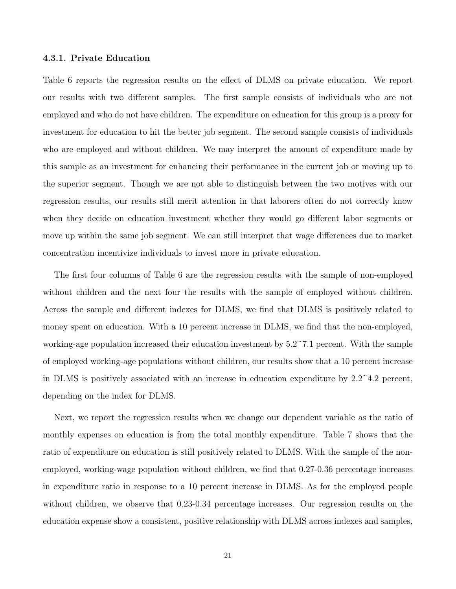#### 4.3.1. Private Education

Table 6 reports the regression results on the effect of DLMS on private education. We report our results with two different samples. The first sample consists of individuals who are not employed and who do not have children. The expenditure on education for this group is a proxy for investment for education to hit the better job segment. The second sample consists of individuals who are employed and without children. We may interpret the amount of expenditure made by this sample as an investment for enhancing their performance in the current job or moving up to the superior segment. Though we are not able to distinguish between the two motives with our regression results, our results still merit attention in that laborers often do not correctly know when they decide on education investment whether they would go different labor segments or move up within the same job segment. We can still interpret that wage differences due to market concentration incentivize individuals to invest more in private education.

The first four columns of Table 6 are the regression results with the sample of non-employed without children and the next four the results with the sample of employed without children. Across the sample and different indexes for DLMS, we find that DLMS is positively related to money spent on education. With a 10 percent increase in DLMS, we find that the non-employed, working-age population increased their education investment by  $5.2^{\circ}7.1$  percent. With the sample of employed working-age populations without children, our results show that a 10 percent increase in DLMS is positively associated with an increase in education expenditure by  $2.2^{\circ}4.2$  percent, depending on the index for DLMS.

Next, we report the regression results when we change our dependent variable as the ratio of monthly expenses on education is from the total monthly expenditure. Table 7 shows that the ratio of expenditure on education is still positively related to DLMS. With the sample of the nonemployed, working-wage population without children, we find that 0.27-0.36 percentage increases in expenditure ratio in response to a 10 percent increase in DLMS. As for the employed people without children, we observe that 0.23-0.34 percentage increases. Our regression results on the education expense show a consistent, positive relationship with DLMS across indexes and samples,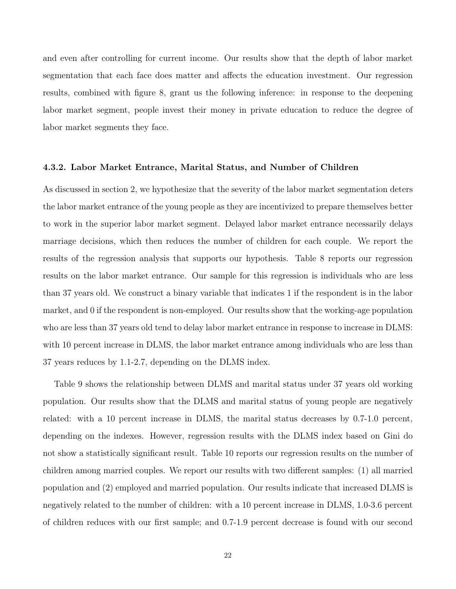and even after controlling for current income. Our results show that the depth of labor market segmentation that each face does matter and affects the education investment. Our regression results, combined with figure 8, grant us the following inference: in response to the deepening labor market segment, people invest their money in private education to reduce the degree of labor market segments they face.

#### 4.3.2. Labor Market Entrance, Marital Status, and Number of Children

As discussed in section 2, we hypothesize that the severity of the labor market segmentation deters the labor market entrance of the young people as they are incentivized to prepare themselves better to work in the superior labor market segment. Delayed labor market entrance necessarily delays marriage decisions, which then reduces the number of children for each couple. We report the results of the regression analysis that supports our hypothesis. Table 8 reports our regression results on the labor market entrance. Our sample for this regression is individuals who are less than 37 years old. We construct a binary variable that indicates 1 if the respondent is in the labor market, and 0 if the respondent is non-employed. Our results show that the working-age population who are less than 37 years old tend to delay labor market entrance in response to increase in DLMS: with 10 percent increase in DLMS, the labor market entrance among individuals who are less than 37 years reduces by 1.1-2.7, depending on the DLMS index.

Table 9 shows the relationship between DLMS and marital status under 37 years old working population. Our results show that the DLMS and marital status of young people are negatively related: with a 10 percent increase in DLMS, the marital status decreases by 0.7-1.0 percent, depending on the indexes. However, regression results with the DLMS index based on Gini do not show a statistically significant result. Table 10 reports our regression results on the number of children among married couples. We report our results with two different samples: (1) all married population and (2) employed and married population. Our results indicate that increased DLMS is negatively related to the number of children: with a 10 percent increase in DLMS, 1.0-3.6 percent of children reduces with our first sample; and 0.7-1.9 percent decrease is found with our second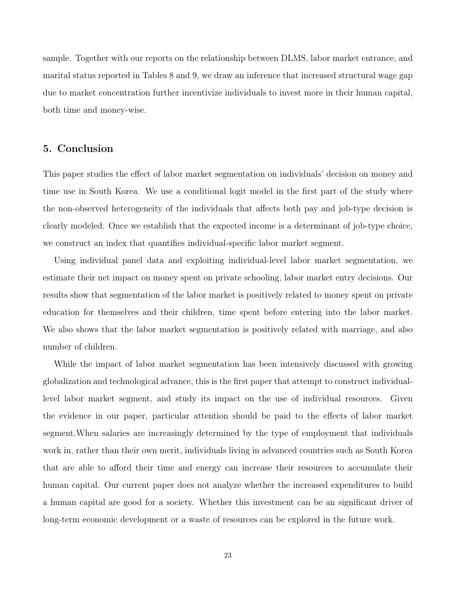sample. Together with our reports on the relationship between DLMS, labor market entrance, and marital status reported in Tables 8 and 9, we draw an inference that increased structural wage gap due to market concentration further incentivize individuals to invest more in their human capital, both time and money-wise.

### 5. Conclusion

This paper studies the effect of labor market segmentation on individuals' decision on money and time use in South Korea. We use a conditional logit model in the first part of the study where the non-observed heterogeneity of the individuals that affects both pay and job-type decision is clearly modeled. Once we establish that the expected income is a determinant of job-type choice, we construct an index that quantifies individual-specific labor market segment.

Using individual panel data and exploiting individual-level labor market segmentation, we estimate their net impact on money spent on private schooling, labor market entry decisions. Our results show that segmentation of the labor market is positively related to money spent on private education for themselves and their children, time spent before entering into the labor market. We also shows that the labor market segmentation is positively related with marriage, and also number of children.

While the impact of labor market segmentation has been intensively discussed with growing globalization and technological advance, this is the first paper that attempt to construct individuallevel labor market segment, and study its impact on the use of individual resources. Given the evidence in our paper, particular attention should be paid to the effects of labor market segment.When salaries are increasingly determined by the type of employment that individuals work in, rather than their own merit, individuals living in advanced countries such as South Korea that are able to afford their time and energy can increase their resources to accumulate their human capital. Our current paper does not analyze whether the increased expenditures to build a human capital are good for a society. Whether this investment can be an significant driver of long-term economic development or a waste of resources can be explored in the future work.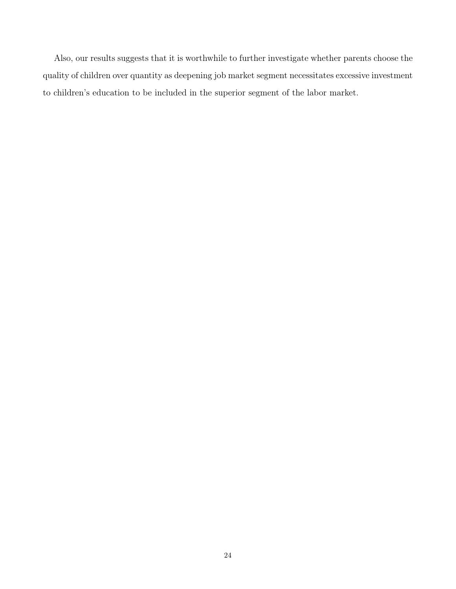Also, our results suggests that it is worthwhile to further investigate whether parents choose the quality of children over quantity as deepening job market segment necessitates excessive investment to children's education to be included in the superior segment of the labor market.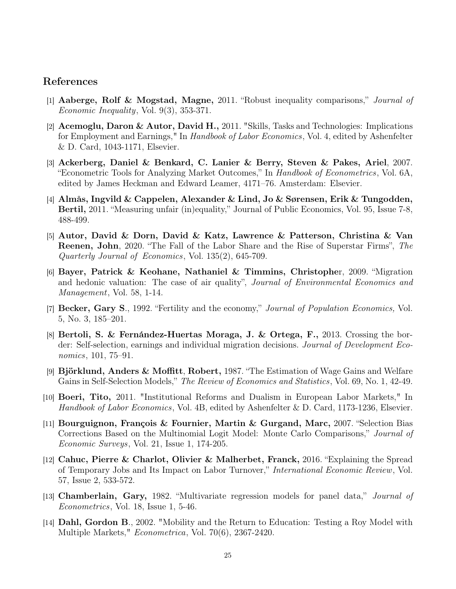### References

- [1] Aaberge, Rolf & Mogstad, Magne, 2011. "Robust inequality comparisons," Journal of Economic Inequality, Vol. 9(3), 353-371.
- [2] Acemoglu, Daron & Autor, David H., 2011. "Skills, Tasks and Technologies: Implications for Employment and Earnings," In Handbook of Labor Economics, Vol. 4, edited by Ashenfelter & D. Card, 1043-1171, Elsevier.
- [3] Ackerberg, Daniel & Benkard, C. Lanier & Berry, Steven & Pakes, Ariel, 2007. "Econometric Tools for Analyzing Market Outcomes," In Handbook of Econometrics, Vol. 6A, edited by James Heckman and Edward Leamer, 4171–76. Amsterdam: Elsevier.
- [4] Almås, Ingvild & Cappelen, Alexander & Lind, Jo & Sørensen, Erik & Tungodden, Bertil, 2011. "Measuring unfair (in)equality," Journal of Public Economics, Vol. 95, Issue 7-8, 488-499.
- [5] Autor, David & Dorn, David & Katz, Lawrence & Patterson, Christina & Van Reenen, John, 2020. "The Fall of the Labor Share and the Rise of Superstar Firms", The Quarterly Journal of Economics, Vol. 135(2), 645-709.
- [6] Bayer, Patrick & Keohane, Nathaniel & Timmins, Christopher, 2009. "Migration and hedonic valuation: The case of air quality", Journal of Environmental Economics and Management, Vol. 58, 1-14.
- [7] Becker, Gary S., 1992. "Fertility and the economy," Journal of Population Economics, Vol. 5, No. 3, 185–201.
- [8] Bertoli, S. & Fernández-Huertas Moraga, J. & Ortega, F., 2013. Crossing the border: Self-selection, earnings and individual migration decisions. Journal of Development Economics, 101, 75–91.
- [9] Björklund, Anders & Moffitt, Robert, 1987. "The Estimation of Wage Gains and Welfare Gains in Self-Selection Models," The Review of Economics and Statistics, Vol. 69, No. 1, 42-49.
- [10] Boeri, Tito, 2011. "Institutional Reforms and Dualism in European Labor Markets," In Handbook of Labor Economics, Vol. 4B, edited by Ashenfelter & D. Card, 1173-1236, Elsevier.
- [11] Bourguignon, François & Fournier, Martin & Gurgand, Marc, 2007. "Selection Bias Corrections Based on the Multinomial Logit Model: Monte Carlo Comparisons," Journal of Economic Surveys, Vol. 21, Issue 1, 174-205.
- [12] Cahuc, Pierre & Charlot, Olivier & Malherbet, Franck, 2016. "Explaining the Spread of Temporary Jobs and Its Impact on Labor Turnover," International Economic Review, Vol. 57, Issue 2, 533-572.
- [13] Chamberlain, Gary, 1982. "Multivariate regression models for panel data," *Journal of* Econometrics, Vol. 18, Issue 1, 5-46.
- [14] Dahl, Gordon B., 2002. "Mobility and the Return to Education: Testing a Roy Model with Multiple Markets," Econometrica, Vol. 70(6), 2367-2420.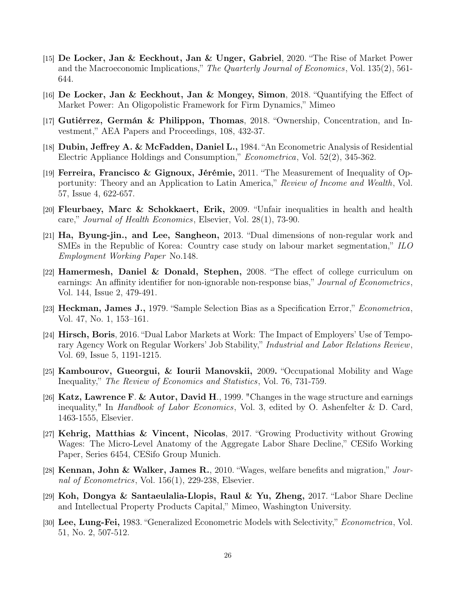- [15] De Locker, Jan & Eeckhout, Jan & Unger, Gabriel, 2020. "The Rise of Market Power and the Macroeconomic Implications," The Quarterly Journal of Economics, Vol. 135(2), 561- 644.
- [16] De Locker, Jan & Eeckhout, Jan & Mongey, Simon, 2018. "Quantifying the Effect of Market Power: An Oligopolistic Framework for Firm Dynamics," Mimeo
- [17] Gutiérrez, Germán & Philippon, Thomas, 2018. "Ownership, Concentration, and Investment," AEA Papers and Proceedings, 108, 432-37.
- [18] Dubin, Jeffrey A. & McFadden, Daniel L., 1984. "An Econometric Analysis of Residential Electric Appliance Holdings and Consumption," Econometrica, Vol. 52(2), 345-362.
- [19] Ferreira, Francisco & Gignoux, Jérémie, 2011. "The Measurement of Inequality of Opportunity: Theory and an Application to Latin America," Review of Income and Wealth, Vol. 57, Issue 4, 622-657.
- [20] Fleurbaey, Marc & Schokkaert, Erik, 2009. "Unfair inequalities in health and health care," Journal of Health Economics, Elsevier, Vol. 28(1), 73-90.
- [21] Ha, Byung-jin., and Lee, Sangheon, 2013. "Dual dimensions of non-regular work and SMEs in the Republic of Korea: Country case study on labour market segmentation," ILO Employment Working Paper No.148.
- [22] Hamermesh, Daniel & Donald, Stephen, 2008. "The effect of college curriculum on earnings: An affinity identifier for non-ignorable non-response bias," Journal of Econometrics, Vol. 144, Issue 2, 479-491.
- [23] Heckman, James J., 1979. "Sample Selection Bias as a Specification Error," Econometrica, Vol. 47, No. 1, 153–161.
- [24] Hirsch, Boris, 2016. "Dual Labor Markets at Work: The Impact of Employers' Use of Temporary Agency Work on Regular Workers' Job Stability," Industrial and Labor Relations Review, Vol. 69, Issue 5, 1191-1215.
- [25] Kambourov, Gueorgui, & Iourii Manovskii, 2009. "Occupational Mobility and Wage Inequality," The Review of Economics and Statistics, Vol. 76, 731-759.
- [26] Katz, Lawrence F. & Autor, David H., 1999. "Changes in the wage structure and earnings inequality," In *Handbook of Labor Economics*, Vol. 3, edited by O. Ashenfelter & D. Card, 1463-1555, Elsevier.
- [27] Kehrig, Matthias & Vincent, Nicolas, 2017. "Growing Productivity without Growing Wages: The Micro-Level Anatomy of the Aggregate Labor Share Decline," CESifo Working Paper, Series 6454, CESifo Group Munich.
- [28] Kennan, John & Walker, James R., 2010. "Wages, welfare benefits and migration," Journal of Econometrics, Vol. 156(1), 229-238, Elsevier.
- [29] Koh, Dongya & Santaeulalia-Llopis, Raul & Yu, Zheng, 2017. "Labor Share Decline" and Intellectual Property Products Capital," Mimeo, Washington University.
- [30] Lee, Lung-Fei, 1983. "Generalized Econometric Models with Selectivity," Econometrica, Vol. 51, No. 2, 507-512.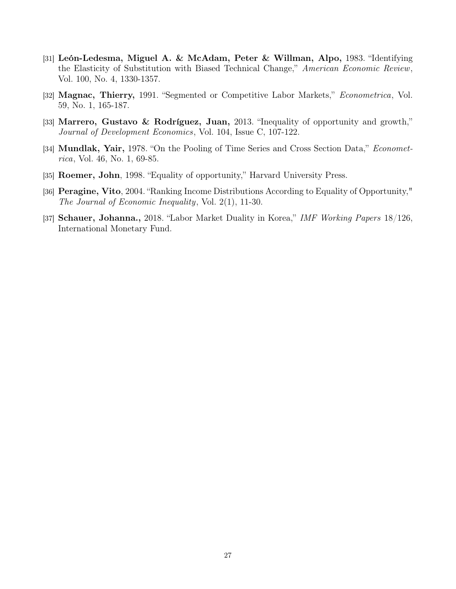- [31] León-Ledesma, Miguel A. & McAdam, Peter & Willman, Alpo, 1983. "Identifying the Elasticity of Substitution with Biased Technical Change," American Economic Review, Vol. 100, No. 4, 1330-1357.
- [32] Magnac, Thierry, 1991. "Segmented or Competitive Labor Markets," Econometrica, Vol. 59, No. 1, 165-187.
- [33] Marrero, Gustavo & Rodríguez, Juan, 2013. "Inequality of opportunity and growth," Journal of Development Economics, Vol. 104, Issue C, 107-122.
- [34] **Mundlak, Yair,** 1978. "On the Pooling of Time Series and Cross Section Data," *Economet*rica, Vol. 46, No. 1, 69-85.
- [35] Roemer, John, 1998. "Equality of opportunity," Harvard University Press.
- [36] Peragine, Vito, 2004. "Ranking Income Distributions According to Equality of Opportunity," The Journal of Economic Inequality, Vol. 2(1), 11-30.
- [37] Schauer, Johanna., 2018. "Labor Market Duality in Korea," IMF Working Papers 18/126, International Monetary Fund.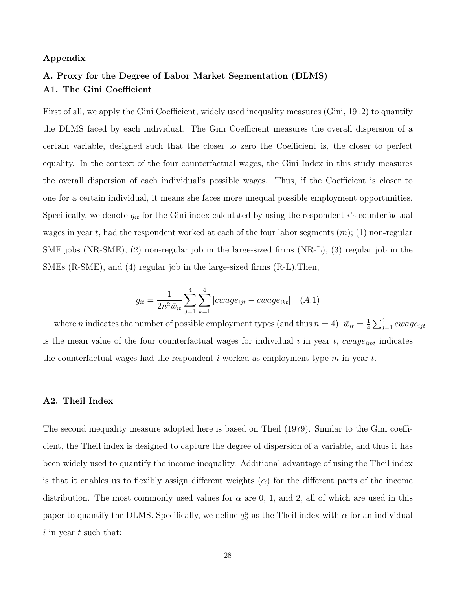#### Appendix

# A. Proxy for the Degree of Labor Market Segmentation (DLMS) A1. The Gini Coefficient

First of all, we apply the Gini Coefficient, widely used inequality measures (Gini, 1912) to quantify the DLMS faced by each individual. The Gini Coefficient measures the overall dispersion of a certain variable, designed such that the closer to zero the Coefficient is, the closer to perfect equality. In the context of the four counterfactual wages, the Gini Index in this study measures the overall dispersion of each individual's possible wages. Thus, if the Coefficient is closer to one for a certain individual, it means she faces more unequal possible employment opportunities. Specifically, we denote  $g_{it}$  for the Gini index calculated by using the respondent i's counterfactual wages in year t, had the respondent worked at each of the four labor segments  $(m)$ ; (1) non-regular SME jobs (NR-SME), (2) non-regular job in the large-sized firms (NR-L), (3) regular job in the SMEs (R-SME), and (4) regular job in the large-sized firms (R-L).Then,

$$
g_{it} = \frac{1}{2n^2 \bar{w}_{it}} \sum_{j=1}^{4} \sum_{k=1}^{4} |cwage_{ijt} - cwage_{ikt}| \quad (A.1)
$$

where *n* indicates the number of possible employment types (and thus  $n = 4$ ),  $\bar{w}_{it} = \frac{1}{4}$  $\frac{1}{4}\sum_{j=1}^4 cwage_{ijt}$ is the mean value of the four counterfactual wages for individual  $i$  in year  $t$ ,  $cwage_{imt}$  indicates the counterfactual wages had the respondent i worked as employment type  $m$  in year  $t$ .

#### A2. Theil Index

The second inequality measure adopted here is based on Theil (1979). Similar to the Gini coefficient, the Theil index is designed to capture the degree of dispersion of a variable, and thus it has been widely used to quantify the income inequality. Additional advantage of using the Theil index is that it enables us to flexibly assign different weights  $(\alpha)$  for the different parts of the income distribution. The most commonly used values for  $\alpha$  are 0, 1, and 2, all of which are used in this paper to quantify the DLMS. Specifically, we define  $q_{it}^{\alpha}$  as the Theil index with  $\alpha$  for an individual  $i$  in year  $t$  such that: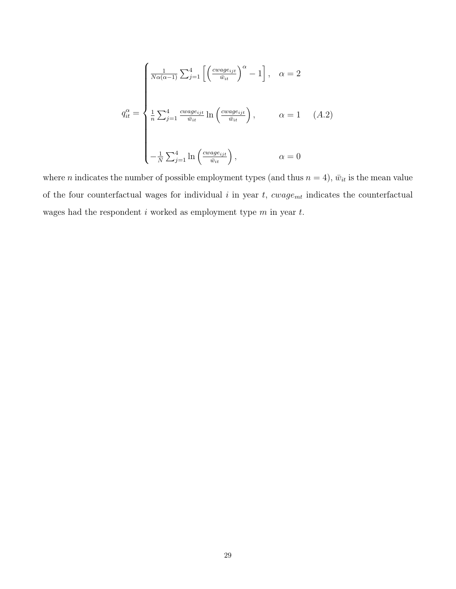$$
q_{it}^{\alpha} = \begin{cases} \frac{1}{N\alpha(\alpha-1)} \sum_{j=1}^{4} \left[ \left(\frac{c_{\text{wage}_{ijt}}}{\bar{w}_{it}}\right)^{\alpha} - 1 \right], & \alpha = 2 \\\\ \frac{1}{n} \sum_{j=1}^{4} \frac{c_{\text{wage}_{ijt}}}{\bar{w}_{it}} \ln \left(\frac{c_{\text{wage}_{ijt}}}{\bar{w}_{it}}\right), & \alpha = 1 \\\\ -\frac{1}{N} \sum_{j=1}^{4} \ln \left(\frac{c_{\text{wage}_{ijt}}}{\bar{w}_{it}}\right), & \alpha = 0 \end{cases} (A.2)
$$

where *n* indicates the number of possible employment types (and thus  $n = 4$ ),  $\bar{w}_{it}$  is the mean value of the four counterfactual wages for individual  $i$  in year  $t$ ,  $cwage_{mt}$  indicates the counterfactual wages had the respondent  $i$  worked as employment type  $m$  in year  $t$ .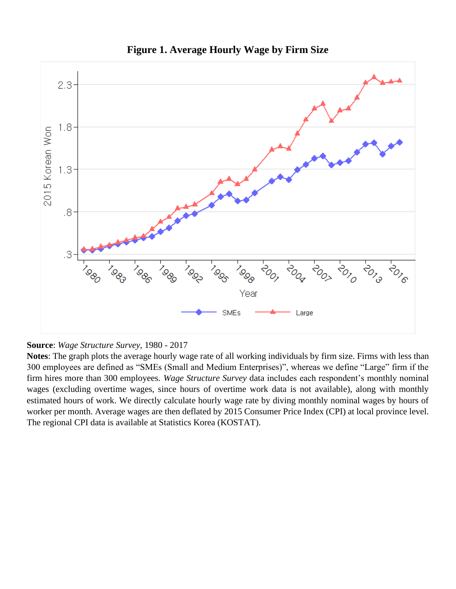

**Figure 1. Average Hourly Wage by Firm Size** 



**Notes**: The graph plots the average hourly wage rate of all working individuals by firm size. Firms with less than 300 employees are defined as "SMEs (Small and Medium Enterprises)", whereas we define "Large" firm if the firm hires more than 300 employees. *Wage Structure Survey* data includes each respondent's monthly nominal wages (excluding overtime wages, since hours of overtime work data is not available), along with monthly estimated hours of work. We directly calculate hourly wage rate by diving monthly nominal wages by hours of worker per month. Average wages are then deflated by 2015 Consumer Price Index (CPI) at local province level. The regional CPI data is available at Statistics Korea (KOSTAT).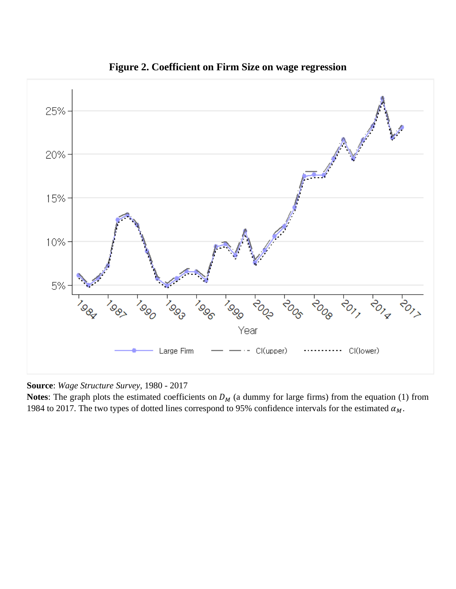

**Figure 2. Coefficient on Firm Size on wage regression**

**Source**: *Wage Structure Survey*, 1980 - 2017

**Notes:** The graph plots the estimated coefficients on  $D_M$  (a dummy for large firms) from the equation (1) from 1984 to 2017. The two types of dotted lines correspond to 95% confidence intervals for the estimated  $\alpha_M$ .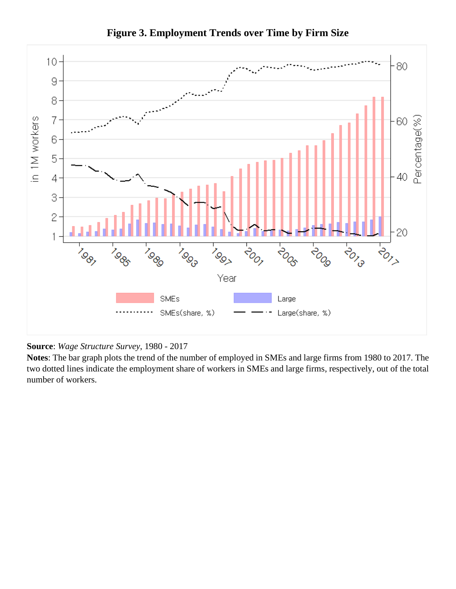

**Figure 3. Employment Trends over Time by Firm Size**

**Source**: *Wage Structure Survey*, 1980 - 2017

**Notes**: The bar graph plots the trend of the number of employed in SMEs and large firms from 1980 to 2017. The two dotted lines indicate the employment share of workers in SMEs and large firms, respectively, out of the total number of workers.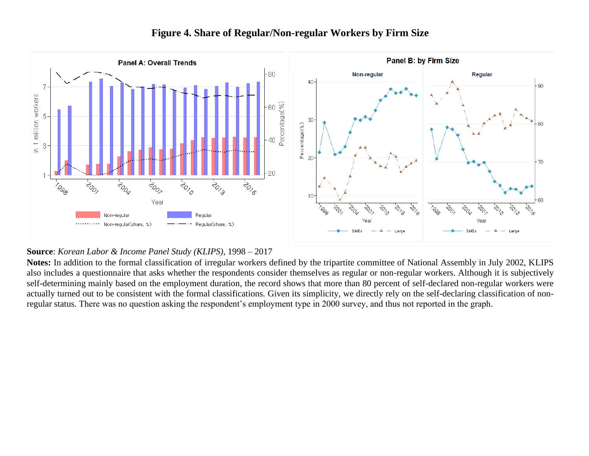

# **Figure 4. Share of Regular/Non-regular Workers by Firm Size**

### **Source**: *Korean Labor & Income Panel Study (KLIPS)*, 1998 – 2017

**Notes:** In addition to the formal classification of irregular workers defined by the tripartite committee of National Assembly in July 2002, KLIPS also includes a questionnaire that asks whether the respondents consider themselves as regular or non-regular workers. Although it is subjectively self-determining mainly based on the employment duration, the record shows that more than 80 percent of self-declared non-regular workers were actually turned out to be consistent with the formal classifications. Given its simplicity, we directly rely on the self-declaring classification of nonregular status. There was no question asking the respondent's employment type in 2000 survey, and thus not reported in the graph.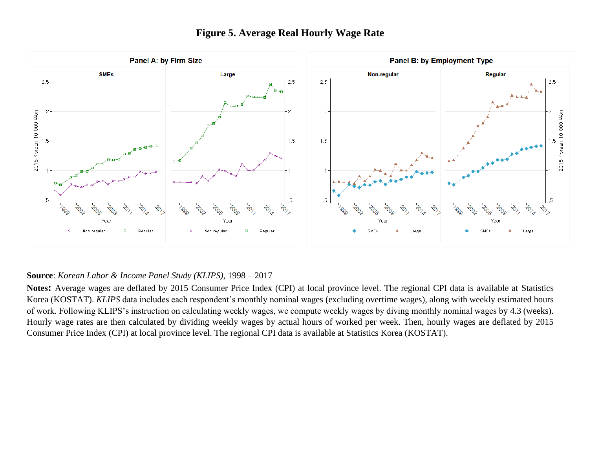

# **Figure 5. Average Real Hourly Wage Rate**

### **Source**: *Korean Labor & Income Panel Study (KLIPS)*, 1998 – 2017

**Notes:** Average wages are deflated by 2015 Consumer Price Index (CPI) at local province level. The regional CPI data is available at Statistics Korea (KOSTAT). *KLIPS* data includes each respondent's monthly nominal wages (excluding overtime wages), along with weekly estimated hours of work. Following KLIPS's instruction on calculating weekly wages, we compute weekly wages by diving monthly nominal wages by 4.3 (weeks). Hourly wage rates are then calculated by dividing weekly wages by actual hours of worked per week. Then, hourly wages are deflated by 2015 Consumer Price Index (CPI) at local province level. The regional CPI data is available at Statistics Korea (KOSTAT).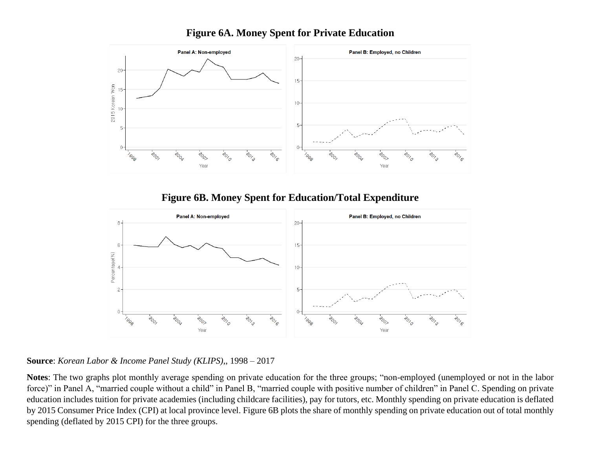

# **Figure 6A. Money Spent for Private Education**

**Figure 6B. Money Spent for Education/Total Expenditure**



**Source**: *Korean Labor & Income Panel Study (KLIPS)*,, 1998 – 2017

**Notes**: The two graphs plot monthly average spending on private education for the three groups; "non-employed (unemployed or not in the labor force)" in Panel A, "married couple without a child" in Panel B, "married couple with positive number of children" in Panel C. Spending on private education includes tuition for private academies (including childcare facilities), pay for tutors, etc. Monthly spending on private education is deflated by 2015 Consumer Price Index (CPI) at local province level. Figure 6B plots the share of monthly spending on private education out of total monthly spending (deflated by 2015 CPI) for the three groups.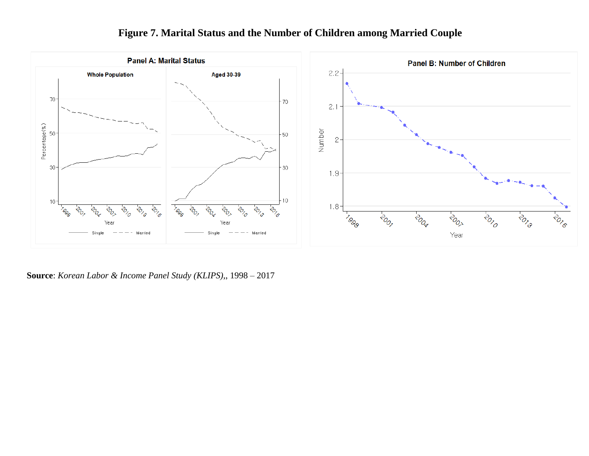

# **Figure 7. Marital Status and the Number of Children among Married Couple**

**Source**: *Korean Labor & Income Panel Study (KLIPS)*,, 1998 – 2017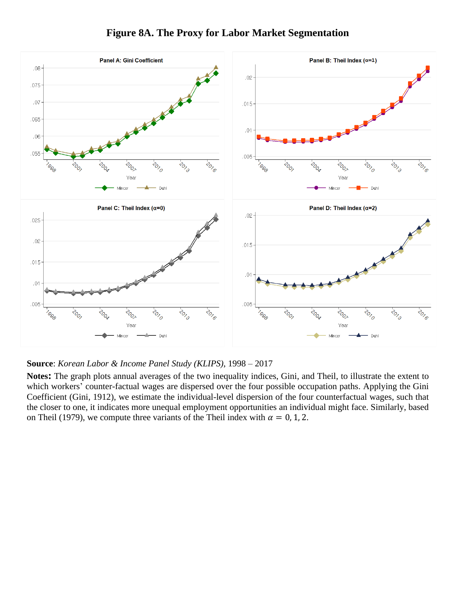

# **Figure 8A. The Proxy for Labor Market Segmentation**

### **Source**: *Korean Labor & Income Panel Study (KLIPS)*, 1998 – 2017

**Notes:** The graph plots annual averages of the two inequality indices, Gini, and Theil, to illustrate the extent to which workers' counter-factual wages are dispersed over the four possible occupation paths. Applying the Gini Coefficient (Gini, 1912), we estimate the individual-level dispersion of the four counterfactual wages, such that the closer to one, it indicates more unequal employment opportunities an individual might face. Similarly, based on Theil (1979), we compute three variants of the Theil index with  $\alpha = 0, 1, 2$ .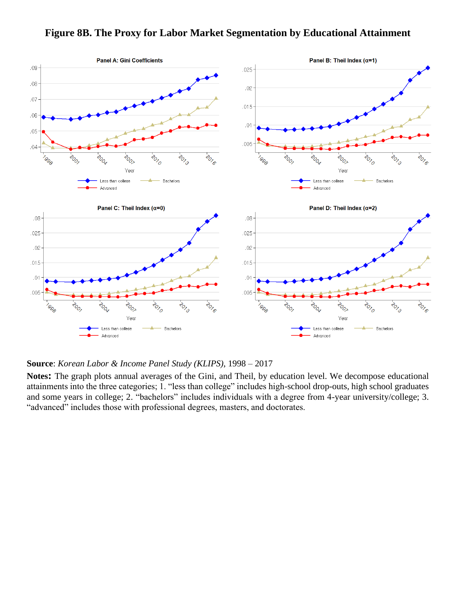## **Figure 8B. The Proxy for Labor Market Segmentation by Educational Attainment**



### **Source**: *Korean Labor & Income Panel Study (KLIPS)*, 1998 – 2017

**Notes:** The graph plots annual averages of the Gini, and Theil, by education level. We decompose educational attainments into the three categories; 1. "less than college" includes high-school drop-outs, high school graduates and some years in college; 2. "bachelors" includes individuals with a degree from 4-year university/college; 3. "advanced" includes those with professional degrees, masters, and doctorates.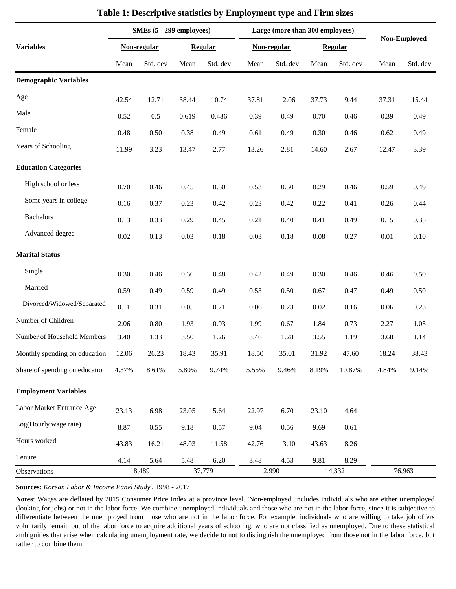|                                | SMEs (5 - 299 employees) |             |       |          | Large (more than 300 employees) |             |        |                | <b>Non-Employed</b> |          |
|--------------------------------|--------------------------|-------------|-------|----------|---------------------------------|-------------|--------|----------------|---------------------|----------|
| <b>Variables</b>               |                          | Non-regular |       | Regular  |                                 | Non-regular |        | <b>Regular</b> |                     |          |
|                                | Mean                     | Std. dev    | Mean  | Std. dev | Mean                            | Std. dev    | Mean   | Std. dev       | Mean                | Std. dev |
| <b>Demographic Variables</b>   |                          |             |       |          |                                 |             |        |                |                     |          |
| Age                            | 42.54                    | 12.71       | 38.44 | 10.74    | 37.81                           | 12.06       | 37.73  | 9.44           | 37.31               | 15.44    |
| Male                           | 0.52                     | $0.5\,$     | 0.619 | 0.486    | 0.39                            | 0.49        | 0.70   | 0.46           | 0.39                | 0.49     |
| Female                         | 0.48                     | $0.50\,$    | 0.38  | 0.49     | 0.61                            | 0.49        | 0.30   | 0.46           | 0.62                | 0.49     |
| Years of Schooling             | 11.99                    | 3.23        | 13.47 | 2.77     | 13.26                           | 2.81        | 14.60  | 2.67           | 12.47               | 3.39     |
| <b>Education Categories</b>    |                          |             |       |          |                                 |             |        |                |                     |          |
| High school or less            | 0.70                     | 0.46        | 0.45  | 0.50     | 0.53                            | 0.50        | 0.29   | 0.46           | 0.59                | 0.49     |
| Some years in college          | 0.16                     | 0.37        | 0.23  | 0.42     | 0.23                            | 0.42        | 0.22   | 0.41           | 0.26                | 0.44     |
| <b>Bachelors</b>               | 0.13                     | 0.33        | 0.29  | 0.45     | 0.21                            | 0.40        | 0.41   | 0.49           | 0.15                | 0.35     |
| Advanced degree                | $0.02\,$                 | 0.13        | 0.03  | 0.18     | 0.03                            | $0.18\,$    | 0.08   | 0.27           | 0.01                | 0.10     |
| <b>Marital Status</b>          |                          |             |       |          |                                 |             |        |                |                     |          |
| Single                         | 0.30                     | 0.46        | 0.36  | 0.48     | 0.42                            | 0.49        | 0.30   | 0.46           | 0.46                | 0.50     |
| Married                        | 0.59                     | 0.49        | 0.59  | 0.49     | 0.53                            | 0.50        | 0.67   | 0.47           | 0.49                | 0.50     |
| Divorced/Widowed/Separated     | 0.11                     | 0.31        | 0.05  | 0.21     | 0.06                            | 0.23        | 0.02   | 0.16           | 0.06                | 0.23     |
| Number of Children             | 2.06                     | $0.80\,$    | 1.93  | 0.93     | 1.99                            | 0.67        | 1.84   | 0.73           | 2.27                | 1.05     |
| Number of Household Members    | 3.40                     | 1.33        | 3.50  | 1.26     | 3.46                            | 1.28        | 3.55   | 1.19           | 3.68                | 1.14     |
| Monthly spending on education  | 12.06                    | 26.23       | 18.43 | 35.91    | 18.50                           | 35.01       | 31.92  | 47.60          | 18.24               | 38.43    |
| Share of spending on education | 4.37%                    | 8.61%       | 5.80% | 9.74%    | 5.55%                           | 9.46%       | 8.19%  | 10.87%         | 4.84%               | 9.14%    |
| <b>Employment Variables</b>    |                          |             |       |          |                                 |             |        |                |                     |          |
| Labor Market Entrance Age      | 23.13                    | 6.98        | 23.05 | 5.64     | 22.97                           | 6.70        | 23.10  | 4.64           |                     |          |
| Log(Hourly wage rate)          | 8.87                     | 0.55        | 9.18  | 0.57     | 9.04                            | 0.56        | 9.69   | 0.61           |                     |          |
| Hours worked                   | 43.83                    | 16.21       | 48.03 | 11.58    | 42.76                           | 13.10       | 43.63  | 8.26           |                     |          |
| Tenure                         | 4.14                     | 5.64        | 5.48  | 6.20     | 3.48                            | 4.53        | 9.81   | 8.29           |                     |          |
| Observations                   |                          | 18,489      |       | 37,779   |                                 | 2,990       | 14,332 |                |                     | 76,963   |

## **Table 1: Descriptive statistics by Employment type and Firm sizes**

**Sources**: *Korean Labor & Income Panel Study* , 1998 - 2017

**Notes**: Wages are deflated by 2015 Consumer Price Index at a province level. 'Non-employed' includes individuals who are either unemployed (looking for jobs) or not in the labor force. We combine unemployed individuals and those who are not in the labor force, since it is subjective to differentiate between the unemployed from those who are not in the labor force. For example, individuals who are willing to take job offers voluntarily remain out of the labor force to acquire additional years of schooling, who are not classified as unemployed. Due to these statistical ambiguities that arise when calculating unemployment rate, we decide to not to distinguish the unemployed from those not in the labor force, but rather to combine them.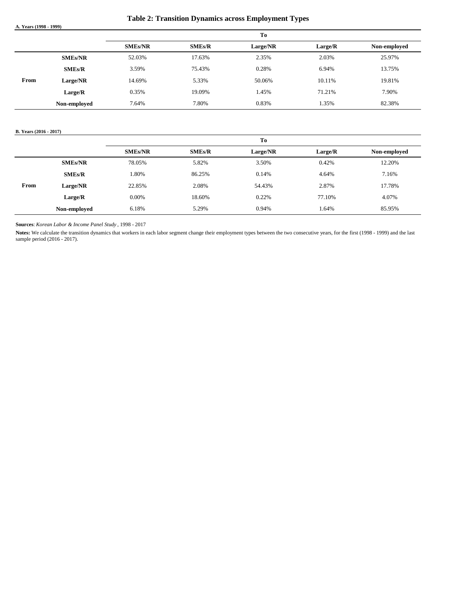**Table 2: Transition Dynamics across Employment Types**

**A. Years (1998 - 1999)**

|      |                |                |               | To       |         |              |
|------|----------------|----------------|---------------|----------|---------|--------------|
|      |                | <b>SMEs/NR</b> | <b>SMEs/R</b> | Large/NR | Large/R | Non-employed |
|      | <b>SMEs/NR</b> | 52.03%         | 17.63%        | 2.35%    | 2.03%   | 25.97%       |
|      | <b>SMEs/R</b>  | 3.59%          | 75.43%        | 0.28%    | 6.94%   | 13.75%       |
| From | Large/NR       | 14.69%         | 5.33%         | 50.06%   | 10.11%  | 19.81%       |
|      | Large/R        | 0.35%          | 19.09%        | 1.45%    | 71.21%  | 7.90%        |
|      | Non-employed   | 7.64%          | 7.80%         | 0.83%    | 1.35%   | 82.38%       |

#### **B. Years (2016 - 2017)**

|      |                |                |               | T <sub>0</sub> |         |              |
|------|----------------|----------------|---------------|----------------|---------|--------------|
|      |                | <b>SMEs/NR</b> | <b>SMEs/R</b> | Large/NR       | Large/R | Non-employed |
|      | <b>SMEs/NR</b> | 78.05%         | 5.82%         | 3.50%          | 0.42%   | 12.20%       |
|      | <b>SMEs/R</b>  | 1.80%          | 86.25%        | 0.14%          | 4.64%   | 7.16%        |
| From | Large/NR       | 22.85%         | 2.08%         | 54.43%         | 2.87%   | 17.78%       |
|      | Large/R        | $0.00\%$       | 18.60%        | 0.22%          | 77.10%  | 4.07%        |
|      | Non-employed   | 6.18%          | 5.29%         | 0.94%          | 1.64%   | 85.95%       |

**Sources**: *Korean Labor & Income Panel Study* , 1998 - 2017

Notes: We calculate the transition dynamics that workers in each labor segment change their employment types between the two consecutive years, for the first (1998 - 1999) and the last sample period (2016 - 2017).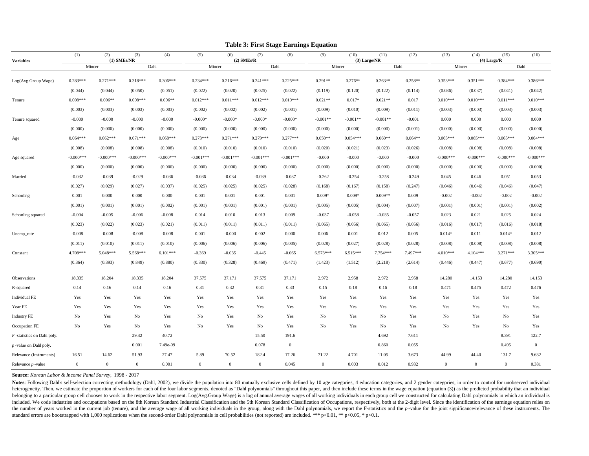|                               | (1)            | (2)          | (3)           | (4)         | (5)          | (6)          | (7)          | (8)            | (9)            | (10)       | (11)           | (12)      | (13)           | (14)         | (15)             | (16)        |
|-------------------------------|----------------|--------------|---------------|-------------|--------------|--------------|--------------|----------------|----------------|------------|----------------|-----------|----------------|--------------|------------------|-------------|
| <b>Variables</b>              |                |              | $(1)$ SMEs/NR | Dahl        |              |              | $(2)$ SMEs/R | Dahl           |                |            | (3) Large/NR   |           |                |              | $(4)$ Large/ $R$ | Dahl        |
|                               |                | Mincer       |               |             |              | Mincer       |              |                |                | Mincer     |                | Dahl      |                | Mincer       |                  |             |
| Log(Avg.Group Wage)           | $0.283***$     | $0.271***$   | $0.318***$    | $0.306***$  | $0.234***$   | $0.216***$   | $0.241***$   | $0.225***$     | $0.291**$      | $0.276**$  | $0.263**$      | $0.258**$ | $0.353***$     | $0.351***$   | $0.384***$       | $0.386***$  |
|                               | (0.044)        | (0.044)      | (0.050)       | (0.051)     | (0.022)      | (0.020)      | (0.025)      | (0.022)        | (0.119)        | (0.120)    | (0.122)        | (0.114)   | (0.036)        | (0.037)      | (0.041)          | (0.042)     |
| Tenure                        | $0.008***$     | $0.006**$    | $0.008***$    | $0.006**$   | $0.012***$   | $0.011***$   | $0.012***$   | $0.010***$     | $0.021**$      | $0.017*$   | $0.021**$      | 0.017     | $0.010***$     | $0.010***$   | $0.011***$       | $0.010***$  |
|                               | (0.003)        | (0.003)      | (0.003)       | (0.003)     | (0.002)      | (0.002)      | (0.002)      | (0.001)        | (0.009)        | (0.010)    | (0.009)        | (0.011)   | (0.003)        | (0.003)      | (0.003)          | (0.003)     |
| Tenure squared                | $-0.000$       | $-0.000$     | $-0.000$      | $-0.000$    | $-0.000*$    | $-0.000*$    | $-0.000*$    | $-0.000*$      | $-0.001**$     | $-0.001**$ | $-0.001**$     | $-0.001$  | 0.000          | 0.000        | 0.000            | 0.000       |
|                               | (0.000)        | (0.000)      | (0.000)       | (0.000)     | (0.000)      | (0.000)      | (0.000)      | (0.000)        | (0.000)        | (0.000)    | (0.000)        | (0.001)   | (0.000)        | (0.000)      | (0.000)          | (0.000)     |
| Age                           | $0.064***$     | $0.062***$   | $0.071***$    | $0.068***$  | $0.273***$   | $0.271***$   | $0.279***$   | $0.277***$     | $0.050**$      | $0.054***$ | $0.060**$      | $0.064**$ | $0.065***$     | $0.065***$   | $0.065***$       | $0.064***$  |
|                               | (0.008)        | (0.008)      | (0.008)       | (0.008)     | (0.010)      | (0.010)      | (0.010)      | (0.010)        | (0.020)        | (0.021)    | (0.023)        | (0.026)   | (0.008)        | (0.008)      | (0.008)          | (0.008)     |
| Age squared                   | $-0.000***$    | $-0.000***$  | $-0.000***$   | $-0.000***$ | $-0.001***$  | $-0.001***$  | $-0.001***$  | $-0.001***$    | $-0.000$       | $-0.000$   | $-0.000$       | $-0.000$  | $-0.000***$    | $-0.000***$  | $-0.000***$      | $-0.000***$ |
|                               | (0.000)        | (0.000)      | (0.000)       | (0.000)     | (0.000)      | (0.000)      | (0.000)      | (0.000)        | (0.000)        | (0.000)    | (0.000)        | (0.000)   | (0.000)        | (0.000)      | (0.000)          | (0.000)     |
| Married                       | $-0.032$       | $-0.039$     | $-0.029$      | $-0.036$    | $-0.036$     | $-0.034$     | $-0.039$     | $-0.037$       | $-0.262$       | $-0.254$   | $-0.258$       | $-0.249$  | 0.045          | 0.046        | 0.051            | 0.053       |
|                               | (0.027)        | (0.029)      | (0.027)       | (0.037)     | (0.025)      | (0.025)      | (0.025)      | (0.028)        | (0.168)        | (0.167)    | (0.158)        | (0.247)   | (0.046)        | (0.046)      | (0.046)          | (0.047)     |
| Schooling                     | 0.001          | 0.000        | 0.000         | 0.000       | 0.001        | 0.001        | 0.001        | 0.001          | $0.009*$       | $0.009*$   | $0.009**$      | 0.009     | $-0.002$       | $-0.002$     | $-0.002$         | $-0.002$    |
|                               | (0.001)        | (0.001)      | (0.001)       | (0.002)     | (0.001)      | (0.001)      | (0.001)      | (0.001)        | (0.005)        | (0.005)    | (0.004)        | (0.007)   | (0.001)        | (0.001)      | (0.001)          | (0.002)     |
| Schooling squared             | $-0.004$       | $-0.005$     | $-0.006$      | $-0.008$    | 0.014        | 0.010        | 0.013        | 0.009          | $-0.037$       | $-0.058$   | $-0.035$       | $-0.057$  | 0.023          | 0.021        | 0.025            | 0.024       |
|                               | (0.023)        | (0.022)      | (0.023)       | (0.021)     | (0.011)      | (0.011)      | (0.011)      | (0.011)        | (0.065)        | (0.056)    | (0.065)        | (0.056)   | (0.016)        | (0.017)      | (0.016)          | (0.018)     |
| Unemp_rate                    | $-0.008$       | $-0.008$     | $-0.008$      | $-0.008$    | 0.001        | $-0.000$     | 0.002        | 0.000          | 0.006          | 0.001      | 0.012          | 0.005     | $0.014*$       | 0.011        | $0.014*$         | 0.012       |
|                               | (0.011)        | (0.010)      | (0.011)       | (0.010)     | (0.006)      | (0.006)      | (0.006)      | (0.005)        | (0.028)        | (0.027)    | (0.028)        | (0.028)   | (0.008)        | (0.008)      | (0.008)          | (0.008)     |
| Constant                      | 4.708***       | 5.048***     | 5.568***      | $6.101***$  | $-0.369$     | $-0.035$     | $-0.445$     | $-0.065$       | $6.573***$     | $6.515***$ | $7.754***$     | 7.497***  | $4.010***$     | $4.104***$   | $3.271***$       | $3.305***$  |
|                               | (0.364)        | (0.393)      | (0.849)       | (0.880)     | (0.330)      | (0.328)      | (0.469)      | (0.471)        | (1.423)        | (1.512)    | (2.218)        | (2.614)   | (0.446)        | (0.447)      | (0.677)          | (0.690)     |
| Observations                  | 18,335         | 18,204       | 18,335        | 18,204      | 37,575       | 37,171       | 37,575       | 37,171         | 2,972          | 2,958      | 2,972          | 2,958     | 14,280         | 14,153       | 14.280           | 14,153      |
| R-squared                     | 0.14           | 0.16         | 0.14          | 0.16        | 0.31         | 0.32         | 0.31         | 0.33           | 0.15           | 0.18       | 0.16           | 0.18      | 0.471          | 0.475        | 0.472            | 0.476       |
| Individual FE                 | Yes            | Yes          | Yes           | Yes         | Yes          | Yes          | Yes          | Yes            | Yes            | Yes        | Yes            | Yes       | Yes            | Yes          | Yes              | Yes         |
| Year FE                       | Yes            | Yes          | Yes           | Yes         | Yes          | Yes          | Yes          | Yes            | Yes            | Yes        | Yes            | Yes       | Yes            | Yes          | Yes              | Yes         |
| <b>Industry FE</b>            | No             | Yes          | No            | Yes         | No           | Yes          | No           | Yes            | N <sub>o</sub> | Yes        | N <sub>o</sub> | Yes       | No             | Yes          | No               | Yes         |
| Occupation FE                 | No             | Yes          | No            | Yes         | No           | Yes          | No           | Yes            | No             | Yes        | N <sub>o</sub> | Yes       | No             | Yes          | No               | Yes         |
| $F$ -statistics on Dahl poly. |                |              | 29.42         | 40.72       |              |              | 15.50        | 191.6          |                |            | 4.692          | 7.611     |                |              | 8.391            | 122.7       |
| $p$ -value on Dahl poly.      |                |              | 0.001         | 7.49e-09    |              |              | 0.078        | $\overline{0}$ |                |            | 0.860          | 0.055     |                |              | 0.495            | $\bf{0}$    |
| Relevance (Instruments)       | 16.51          | 14.62        | 51.93         | 27.47       | 5.89         | 70.52        | 182.4        | 17.26          | 71.22          | 4.701      | 11.05          | 3.673     | 44.99          | 44.40        | 131.7            | 9.632       |
| Relevance $p$ -value          | $\overline{0}$ | $\mathbf{0}$ | $\mathbf{0}$  | 0.001       | $\mathbf{0}$ | $\mathbf{0}$ | $\mathbf{0}$ | 0.045          | $\mathbf{0}$   | 0.003      | 0.012          | 0.932     | $\overline{0}$ | $\mathbf{0}$ | $\mathbf{0}$     | 0.381       |

**Table 3: First Stage Earnings Equation**

**Source:** *Korean Labor & Income Panel Survey,* 1998 - 2017

Notes: Following Dahl's self-selection correcting methodology (Dahl, 2002), we divide the population into 80 mutually exclusive cells defined by 10 age categories, 4 education categories, and 2 gender categories, in order heterogeneity. Then, we estimate the proportion of workers for each of the four labor segments, denoted as "Dahl polynomials" throughout this paper, and then include these terms in the wage equation (equation (3)) as the p belonging to a particular group cell chooses to work in the respective labor segment. Log(Avg.Group Wage) is a log of annual average wages of all working individuals in each group cell we constructed for calculating Dahl p included. We code industries and occupations based on the 8th Korean Standard Industrial Classification and the 5th Korean Standard Classification of Occupations, respectively, both at the 2-digit level. Since the identifi the number of years worked in the current job (tenure), and the average wage of all working individuals in the group, along with the Dahl polynomials, we report the F-statistics and the p-value for the joint significance/r standard errors are bootstrapped with 1,000 replications when the second-order Dahl polynomials in cell probabilities (not reported) are included. \*\*\* p<0.01, \*\* p<0.05, \* p<0.1.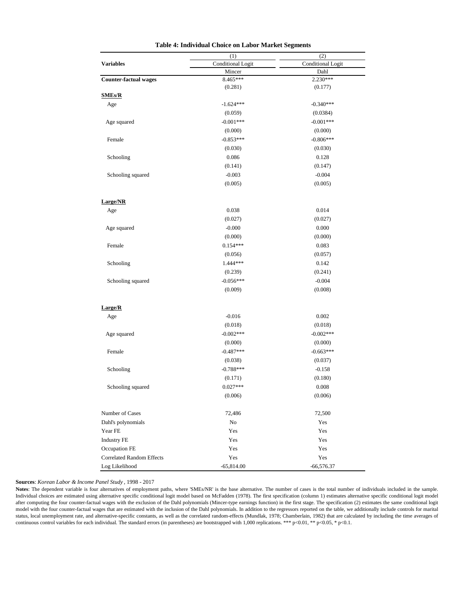|                                  | (1)                      | (2)                      |  |  |
|----------------------------------|--------------------------|--------------------------|--|--|
| <b>Variables</b>                 | <b>Conditional Logit</b> | <b>Conditional Logit</b> |  |  |
|                                  | Mincer                   | Dahl                     |  |  |
| <b>Counter-factual wages</b>     | 8.465***                 | 2.230***                 |  |  |
|                                  | (0.281)                  | (0.177)                  |  |  |
| <b>SMEs/R</b>                    |                          |                          |  |  |
| Age                              | $-1.624***$              | $-0.340***$              |  |  |
|                                  | (0.059)                  | (0.0384)                 |  |  |
| Age squared                      | $-0.001***$              | $-0.001***$              |  |  |
|                                  | (0.000)                  | (0.000)                  |  |  |
| Female                           | $-0.853***$              | $-0.806***$              |  |  |
|                                  | (0.030)                  | (0.030)                  |  |  |
| Schooling                        | 0.086                    | 0.128                    |  |  |
|                                  | (0.141)                  | (0.147)                  |  |  |
| Schooling squared                | $-0.003$                 | $-0.004$                 |  |  |
|                                  | (0.005)                  | (0.005)                  |  |  |
| Large/NR                         |                          |                          |  |  |
| Age                              | 0.038                    | 0.014                    |  |  |
|                                  | (0.027)                  | (0.027)                  |  |  |
| Age squared                      | $-0.000$                 | 0.000                    |  |  |
|                                  | (0.000)                  | (0.000)                  |  |  |
| Female                           | $0.154***$               | 0.083                    |  |  |
|                                  | (0.056)                  | (0.057)                  |  |  |
| Schooling                        | 1.444***                 | 0.142                    |  |  |
|                                  | (0.239)                  | (0.241)                  |  |  |
| Schooling squared                | $-0.056***$              | $-0.004$                 |  |  |
|                                  | (0.009)                  | (0.008)                  |  |  |
|                                  |                          |                          |  |  |
| Large/R                          |                          |                          |  |  |
| Age                              | $-0.016$                 | 0.002                    |  |  |
|                                  | (0.018)                  | (0.018)                  |  |  |
| Age squared                      | $-0.002***$              | $-0.002***$              |  |  |
|                                  | (0.000)                  | (0.000)                  |  |  |
| Female                           | $-0.487***$              | $-0.663***$              |  |  |
|                                  | (0.038)                  | (0.037)                  |  |  |
| Schooling                        | $-0.788***$              | $-0.158$                 |  |  |
|                                  | (0.171)                  | (0.180)                  |  |  |
| Schooling squared                | $0.027***$               | $0.008\,$                |  |  |
|                                  | (0.006)                  | (0.006)                  |  |  |
| Number of Cases                  | 72,486                   | 72,500                   |  |  |
| Dahl's polynomials               | No                       | Yes                      |  |  |
| Year FE                          | Yes                      | Yes                      |  |  |
| <b>Industry FE</b>               | Yes                      | Yes                      |  |  |
| Occupation FE                    | Yes                      | Yes                      |  |  |
| <b>Correlated Random Effects</b> | Yes                      | Yes                      |  |  |
|                                  |                          |                          |  |  |
| Log Likelihood                   | $-65,814.00$             | $-66,576.37$             |  |  |

#### **Table 4: Individual Choice on Labor Market Segments**

#### **Sources**: *Korean Labor & Income Panel Study* , 1998 - 2017

Notes: The dependent variable is four alternatives of employment paths, where 'SMEs/NR' is the base alternative. The number of cases is the total number of individuals included in the sample. Individual choices are estimated using alternative specific conditional logit model based on McFadden (1978). The first specification (column 1) estimates alternative specific conditional logit model after computing the four counter-factual wages with the exclusion of the Dahl polynomials (Mincer-type earnings function) in the first stage. The specification (2) estimates the same conditional logit model with the four counter-factual wages that are estimated with the inclusion of the Dahl polynomials. In addition to the regressors reported on the table, we additionally include controls for marital status, local unemployment rate, and alternative-specific constants, as well as the correlated random-effects (Mundlak, 1978; Chamberlain, 1982) that are calculated by including the time averages of continuous control variables for each individual. The standard errors (in parentheses) are bootstrapped with 1,000 replications. \*\*\* p<0.01, \*\* p<0.05, \* p<0.1.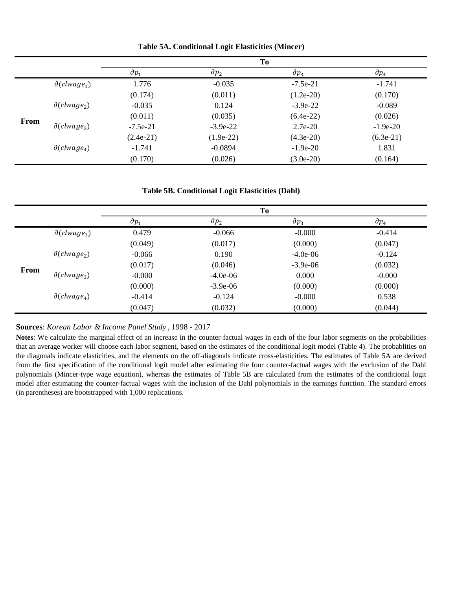|      |                                   |                |                | To             |                |
|------|-----------------------------------|----------------|----------------|----------------|----------------|
|      |                                   | $\partial p_1$ | $\partial p_2$ | $\partial p_3$ | $\partial p_4$ |
|      | $\partial$ (clwage <sub>1</sub> ) | 1.776          | $-0.035$       | $-7.5e-21$     | $-1.741$       |
|      |                                   | (0.174)        | (0.011)        | $(1.2e-20)$    | (0.170)        |
|      | $\partial$ (clwage <sub>2</sub> ) | $-0.035$       | 0.124          | $-3.9e-22$     | $-0.089$       |
| From |                                   | (0.011)        | (0.035)        | $(6.4e-22)$    | (0.026)        |
|      | $\partial$ (clwage <sub>3</sub> ) | $-7.5e-21$     | $-3.9e-22$     | $2.7e-20$      | $-1.9e-20$     |
|      |                                   | $(2.4e-21)$    | $(1.9e-22)$    | $(4.3e-20)$    | $(6.3e-21)$    |
|      | $\partial$ (clwage <sub>4</sub> ) | $-1.741$       | $-0.0894$      | $-1.9e-20$     | 1.831          |
|      |                                   | (0.170)        | (0.026)        | $(3.0e-20)$    | (0.164)        |

**Table 5A. Conditional Logit Elasticities (Mincer)**

#### **Table 5B. Conditional Logit Elasticities (Dahl)**

|      |                                   |                |                | To             |                |
|------|-----------------------------------|----------------|----------------|----------------|----------------|
|      |                                   | $\partial p_1$ | $\partial p_2$ | $\partial p_3$ | $\partial p_4$ |
|      | $\partial$ (clwage <sub>1</sub> ) | 0.479          | $-0.066$       | $-0.000$       | $-0.414$       |
|      |                                   | (0.049)        | (0.017)        | (0.000)        | (0.047)        |
|      | $\partial (clwage_2)$             | $-0.066$       | 0.190          | $-4.0e-06$     | $-0.124$       |
| From |                                   | (0.017)        | (0.046)        | $-3.9e-06$     | (0.032)        |
|      | $\partial$ (clwage <sub>3</sub> ) | $-0.000$       | $-4.0e-06$     | 0.000          | $-0.000$       |
|      |                                   | (0.000)        | $-3.9e-06$     | (0.000)        | (0.000)        |
|      | $\partial$ (clwage <sub>4</sub> ) | $-0.414$       | $-0.124$       | $-0.000$       | 0.538          |
|      |                                   | (0.047)        | (0.032)        | (0.000)        | (0.044)        |

### **Sources**: *Korean Labor & Income Panel Study* , 1998 - 2017

**Notes**: We calculate the marginal effect of an increase in the counter-factual wages in each of the four labor segments on the probabilities that an average worker will choose each labor segment, based on the estimates of the conditional logit model (Table 4). The probablities on the diagonals indicate elasticities, and the elements on the off-diagonals indicate cross-elasticities. The estimates of Table 5A are derived from the first specification of the conditional logit model after estimating the four counter-factual wages with the exclusion of the Dahl polynomials (Mincer-type wage equation), whereas the estimates of Table 5B are calculated from the estimates of the conditional logit model after estimating the counter-factual wages with the inclusion of the Dahl polynomials in the earnings function. The standard errors (in parentheses) are bootstrapped with 1,000 replications.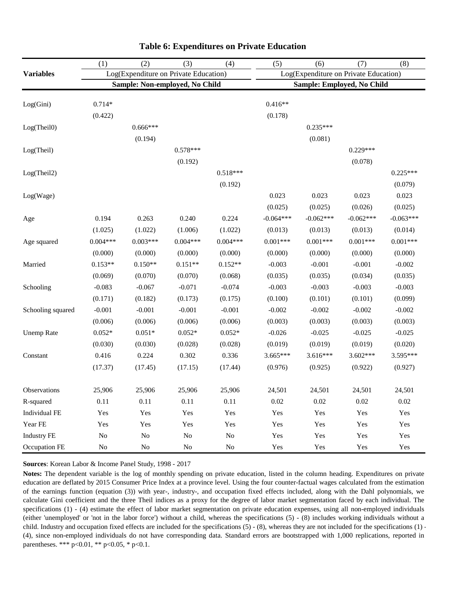|                     | (1)        | (2)                                   | (3)        | (4)        | (5)         | (6)         | (7)                                   | (8)         |
|---------------------|------------|---------------------------------------|------------|------------|-------------|-------------|---------------------------------------|-------------|
| <b>Variables</b>    |            | Log(Expenditure on Private Education) |            |            |             |             | Log(Expenditure on Private Education) |             |
|                     |            | Sample: Non-employed, No Child        |            |            |             |             | Sample: Employed, No Child            |             |
|                     |            |                                       |            |            |             |             |                                       |             |
| Log(Gini)           | $0.714*$   |                                       |            |            | $0.416**$   |             |                                       |             |
|                     | (0.422)    |                                       |            |            | (0.178)     |             |                                       |             |
| Log(Theil0)         |            | $0.666***$                            |            |            |             | $0.235***$  |                                       |             |
|                     |            | (0.194)                               |            |            |             | (0.081)     |                                       |             |
| Log(Theil)          |            |                                       | $0.578***$ |            |             |             | $0.229***$                            |             |
|                     |            |                                       | (0.192)    |            |             |             | (0.078)                               |             |
| Log(Theil2)         |            |                                       |            | $0.518***$ |             |             |                                       | $0.225***$  |
|                     |            |                                       |            | (0.192)    |             |             |                                       | (0.079)     |
| Log(Wage)           |            |                                       |            |            | 0.023       | 0.023       | 0.023                                 | 0.023       |
|                     |            |                                       |            |            | (0.025)     | (0.025)     | (0.026)                               | (0.025)     |
| Age                 | 0.194      | 0.263                                 | 0.240      | 0.224      | $-0.064***$ | $-0.062***$ | $-0.062***$                           | $-0.063***$ |
|                     | (1.025)    | (1.022)                               | (1.006)    | (1.022)    | (0.013)     | (0.013)     | (0.013)                               | (0.014)     |
| Age squared         | $0.004***$ | $0.003***$                            | $0.004***$ | $0.004***$ | $0.001***$  | $0.001***$  | $0.001***$                            | $0.001***$  |
|                     | (0.000)    | (0.000)                               | (0.000)    | (0.000)    | (0.000)     | (0.000)     | (0.000)                               | (0.000)     |
| Married             | $0.153**$  | $0.150**$                             | $0.151**$  | $0.152**$  | $-0.003$    | $-0.001$    | $-0.001$                              | $-0.002$    |
|                     | (0.069)    | (0.070)                               | (0.070)    | (0.068)    | (0.035)     | (0.035)     | (0.034)                               | (0.035)     |
| Schooling           | $-0.083$   | $-0.067$                              | $-0.071$   | $-0.074$   | $-0.003$    | $-0.003$    | $-0.003$                              | $-0.003$    |
|                     | (0.171)    | (0.182)                               | (0.173)    | (0.175)    | (0.100)     | (0.101)     | (0.101)                               | (0.099)     |
| Schooling squared   | $-0.001$   | $-0.001$                              | $-0.001$   | $-0.001$   | $-0.002$    | $-0.002$    | $-0.002$                              | $-0.002$    |
|                     | (0.006)    | (0.006)                               | (0.006)    | (0.006)    | (0.003)     | (0.003)     | (0.003)                               | (0.003)     |
| <b>Unemp Rate</b>   | $0.052*$   | $0.051*$                              | $0.052*$   | $0.052*$   | $-0.026$    | $-0.025$    | $-0.025$                              | $-0.025$    |
|                     | (0.030)    | (0.030)                               | (0.028)    | (0.028)    | (0.019)     | (0.019)     | (0.019)                               | (0.020)     |
| Constant            | 0.416      | 0.224                                 | 0.302      | 0.336      | 3.665***    | $3.616***$  | $3.602***$                            | 3.595***    |
|                     | (17.37)    | (17.45)                               | (17.15)    | (17.44)    | (0.976)     | (0.925)     | (0.922)                               | (0.927)     |
| <b>Observations</b> | 25,906     | 25,906                                | 25,906     | 25,906     | 24,501      | 24,501      | 24,501                                | 24,501      |
| R-squared           | 0.11       | 0.11                                  | 0.11       | 0.11       | 0.02        | 0.02        | 0.02                                  | $0.02\,$    |
| Individual FE       | Yes        | Yes                                   | Yes        | Yes        | Yes         | Yes         | Yes                                   | Yes         |
| Year FE             | Yes        | Yes                                   | Yes        | Yes        | Yes         | Yes         | Yes                                   | Yes         |
| <b>Industry FE</b>  | $\rm No$   | $\rm No$                              | $\rm No$   | $\rm No$   | Yes         | Yes         | Yes                                   | Yes         |
| Occupation FE       | $\rm No$   | $\rm No$                              | $\rm No$   | $\rm No$   | Yes         | Yes         | Yes                                   | Yes         |

### **Table 6: Expenditures on Private Education**

**Sources**: Korean Labor & Income Panel Study, 1998 - 2017

**Notes:** The dependent variable is the log of monthly spending on private education, listed in the column heading. Expenditures on private education are deflated by 2015 Consumer Price Index at a province level. Using the four counter-factual wages calculated from the estimation of the earnings function (equation (3)) with year-, industry-, and occupation fixed effects included, along with the Dahl polynomials, we calculate Gini coefficient and the three Theil indices as a proxy for the degree of labor market segmentation faced by each individual. The specifications (1) - (4) estimate the effect of labor market segmentation on private education expenses, using all non-employed individuals (either 'unemployed' or 'not in the labor force') without a child, whereas the specifications (5) - (8) includes working individuals without a child. Industry and occupation fixed effects are included for the specifications (5) - (8), whereas they are not included for the specifications (1) - (4), since non-employed individuals do not have corresponding data. Standard errors are bootstrapped with 1,000 replications, reported in parentheses. \*\*\* p<0.01, \*\* p<0.05, \* p<0.1.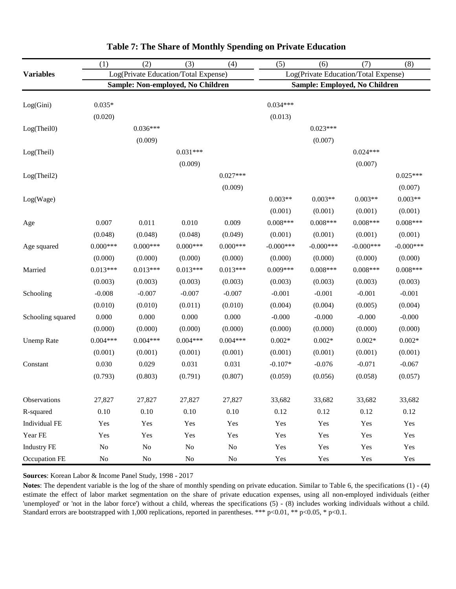|                    | (1)        | (2)                                  | (3)        | (4)        | (5)          | (6)                                  | (7)          | (8)          |
|--------------------|------------|--------------------------------------|------------|------------|--------------|--------------------------------------|--------------|--------------|
| <b>Variables</b>   |            | Log(Private Education/Total Expense) |            |            |              | Log(Private Education/Total Expense) |              |              |
|                    |            | Sample: Non-employed, No Children    |            |            |              | Sample: Employed, No Children        |              |              |
| Log(Gini)          | $0.035*$   |                                      |            |            | $0.034***$   |                                      |              |              |
|                    | (0.020)    |                                      |            |            | (0.013)      |                                      |              |              |
| Log(Theil0)        |            | $0.036***$                           |            |            |              | $0.023***$                           |              |              |
|                    |            | (0.009)                              |            |            |              | (0.007)                              |              |              |
| Log(Theil)         |            |                                      | $0.031***$ |            |              |                                      | $0.024***$   |              |
|                    |            |                                      | (0.009)    |            |              |                                      | (0.007)      |              |
| Log(Theil2)        |            |                                      |            | $0.027***$ |              |                                      |              | $0.025***$   |
|                    |            |                                      |            | (0.009)    |              |                                      |              | (0.007)      |
| Log(Wage)          |            |                                      |            |            | $0.003**$    | $0.003**$                            | $0.003**$    | $0.003**$    |
|                    |            |                                      |            |            | (0.001)      | (0.001)                              | (0.001)      | (0.001)      |
| Age                | 0.007      | 0.011                                | 0.010      | 0.009      | $0.008***$   | $0.008***$                           | $0.008***$   | $0.008***$   |
|                    | (0.048)    | (0.048)                              | (0.048)    | (0.049)    | (0.001)      | (0.001)                              | (0.001)      | (0.001)      |
| Age squared        | $0.000***$ | $0.000***$                           | $0.000***$ | $0.000***$ | $-0.000$ *** | $-0.000$ ***                         | $-0.000$ *** | $-0.000$ *** |
|                    | (0.000)    | (0.000)                              | (0.000)    | (0.000)    | (0.000)      | (0.000)                              | (0.000)      | (0.000)      |
| Married            | $0.013***$ | $0.013***$                           | $0.013***$ | $0.013***$ | $0.009***$   | $0.008***$                           | $0.008***$   | $0.008***$   |
|                    | (0.003)    | (0.003)                              | (0.003)    | (0.003)    | (0.003)      | (0.003)                              | (0.003)      | (0.003)      |
| Schooling          | $-0.008$   | $-0.007$                             | $-0.007$   | $-0.007$   | $-0.001$     | $-0.001$                             | $-0.001$     | $-0.001$     |
|                    | (0.010)    | (0.010)                              | (0.011)    | (0.010)    | (0.004)      | (0.004)                              | (0.005)      | (0.004)      |
| Schooling squared  | 0.000      | 0.000                                | 0.000      | 0.000      | $-0.000$     | $-0.000$                             | $-0.000$     | $-0.000$     |
|                    | (0.000)    | (0.000)                              | (0.000)    | (0.000)    | (0.000)      | (0.000)                              | (0.000)      | (0.000)      |
| <b>Unemp Rate</b>  | $0.004***$ | $0.004***$                           | $0.004***$ | $0.004***$ | $0.002*$     | $0.002*$                             | $0.002*$     | $0.002*$     |
|                    | (0.001)    | (0.001)                              | (0.001)    | (0.001)    | (0.001)      | (0.001)                              | (0.001)      | (0.001)      |
| Constant           | 0.030      | 0.029                                | 0.031      | 0.031      | $-0.107*$    | $-0.076$                             | $-0.071$     | $-0.067$     |
|                    | (0.793)    | (0.803)                              | (0.791)    | (0.807)    | (0.059)      | (0.056)                              | (0.058)      | (0.057)      |
| Observations       | 27,827     | 27,827                               | 27,827     | 27,827     | 33,682       | 33,682                               | 33,682       | 33,682       |
| R-squared          | 0.10       | 0.10                                 | 0.10       | 0.10       | 0.12         | 0.12                                 | 0.12         | 0.12         |
| Individual FE      | Yes        | Yes                                  | Yes        | Yes        | Yes          | Yes                                  | Yes          | Yes          |
| Year FE            | Yes        | Yes                                  | Yes        | Yes        | Yes          | Yes                                  | Yes          | Yes          |
| <b>Industry FE</b> | $\rm No$   | $\rm No$                             | $\rm No$   | $\rm No$   | Yes          | Yes                                  | Yes          | Yes          |
| Occupation FE      | No         | $\rm No$                             | $\rm No$   | $\rm No$   | Yes          | Yes                                  | Yes          | Yes          |

## **Table 7: The Share of Monthly Spending on Private Education**

**Sources**: Korean Labor & Income Panel Study, 1998 - 2017

**Notes**: The dependent variable is the log of the share of monthly spending on private education. Similar to Table 6, the specifications (1) - (4) estimate the effect of labor market segmentation on the share of private education expenses, using all non-employed individuals (either 'unemployed' or 'not in the labor force') without a child, whereas the specifications (5) - (8) includes working individuals without a child. Standard errors are bootstrapped with 1,000 replications, reported in parentheses. \*\*\* p<0.01, \*\* p<0.05, \* p<0.1.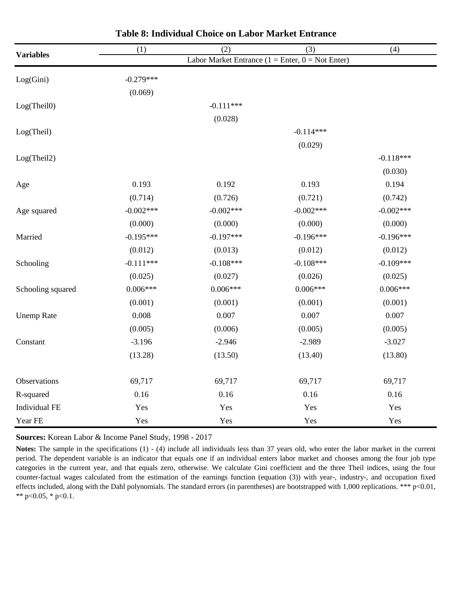| <b>Variables</b>  | (1)         | (2)         | (3)                                                  | (4)         |
|-------------------|-------------|-------------|------------------------------------------------------|-------------|
|                   |             |             | Labor Market Entrance $(1 =$ Enter, $0 =$ Not Enter) |             |
| Log(Gini)         | $-0.279***$ |             |                                                      |             |
|                   | (0.069)     |             |                                                      |             |
| Log(Theil0)       |             | $-0.111***$ |                                                      |             |
|                   |             | (0.028)     |                                                      |             |
| Log(Theil)        |             |             | $-0.114***$                                          |             |
|                   |             |             | (0.029)                                              |             |
| Log(Theil2)       |             |             |                                                      | $-0.118***$ |
|                   |             |             |                                                      | (0.030)     |
| Age               | 0.193       | 0.192       | 0.193                                                | 0.194       |
|                   | (0.714)     | (0.726)     | (0.721)                                              | (0.742)     |
| Age squared       | $-0.002***$ | $-0.002***$ | $-0.002***$                                          | $-0.002***$ |
|                   | (0.000)     | (0.000)     | (0.000)                                              | (0.000)     |
| Married           | $-0.195***$ | $-0.197***$ | $-0.196***$                                          | $-0.196***$ |
|                   | (0.012)     | (0.013)     | (0.012)                                              | (0.012)     |
| Schooling         | $-0.111***$ | $-0.108***$ | $-0.108***$                                          | $-0.109***$ |
|                   | (0.025)     | (0.027)     | (0.026)                                              | (0.025)     |
| Schooling squared | $0.006***$  | $0.006***$  | $0.006***$                                           | $0.006***$  |
|                   | (0.001)     | (0.001)     | (0.001)                                              | (0.001)     |
| <b>Unemp Rate</b> | 0.008       | 0.007       | 0.007                                                | 0.007       |
|                   | (0.005)     | (0.006)     | (0.005)                                              | (0.005)     |
| Constant          | $-3.196$    | $-2.946$    | $-2.989$                                             | $-3.027$    |
|                   | (13.28)     | (13.50)     | (13.40)                                              | (13.80)     |
|                   |             |             |                                                      |             |
| Observations      | 69,717      | 69,717      | 69,717                                               | 69,717      |
| R-squared         | 0.16        | 0.16        | 0.16                                                 | 0.16        |
| Individual FE     | Yes         | Yes         | Yes                                                  | Yes         |
| Year FE           | Yes         | Yes         | Yes                                                  | Yes         |

| <b>Table 8: Individual Choice on Labor Market Entrance</b> |  |  |
|------------------------------------------------------------|--|--|
|------------------------------------------------------------|--|--|

**Sources:** Korean Labor & Income Panel Study, 1998 - 2017

**Notes:** The sample in the specifications (1) - (4) include all individuals less than 37 years old, who enter the labor market in the current period. The dependent variable is an indicator that equals one if an individual enters labor market and chooses among the four job type categories in the current year, and that equals zero, otherwise. We calculate Gini coefficient and the three Theil indices, using the four counter-factual wages calculated from the estimation of the earnings function (equation (3)) with year-, industry-, and occupation fixed effects included, along with the Dahl polynomials. The standard errors (in parentheses) are bootstrapped with 1,000 replications. \*\*\* p<0.01, \*\*  $p<0.05$ , \*  $p<0.1$ .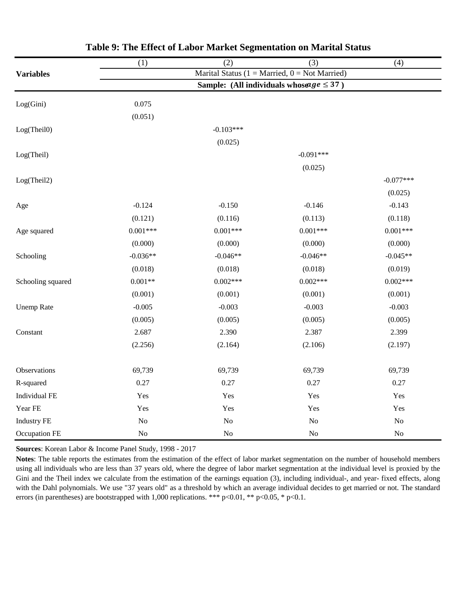|                    | (1)            | (2)            | (3)                                            | (4)         |
|--------------------|----------------|----------------|------------------------------------------------|-------------|
| <b>Variables</b>   |                |                | Marital Status (1 = Married, 0 = Not Married)  |             |
|                    |                |                | Sample: (All individuals whose $age \leq 37$ ) |             |
| Log(Gini)          | 0.075          |                |                                                |             |
|                    | (0.051)        |                |                                                |             |
| Log(Theil0)        |                | $-0.103***$    |                                                |             |
|                    |                | (0.025)        |                                                |             |
| Log(Theil)         |                |                | $-0.091***$                                    |             |
|                    |                |                | (0.025)                                        |             |
| Log(Theil2)        |                |                |                                                | $-0.077***$ |
|                    |                |                |                                                | (0.025)     |
| Age                | $-0.124$       | $-0.150$       | $-0.146$                                       | $-0.143$    |
|                    | (0.121)        | (0.116)        | (0.113)                                        | (0.118)     |
| Age squared        | $0.001***$     | $0.001***$     | $0.001***$                                     | $0.001***$  |
|                    | (0.000)        | (0.000)        | (0.000)                                        | (0.000)     |
| Schooling          | $-0.036**$     | $-0.046**$     | $-0.046**$                                     | $-0.045**$  |
|                    | (0.018)        | (0.018)        | (0.018)                                        | (0.019)     |
| Schooling squared  | $0.001**$      | $0.002***$     | $0.002***$                                     | $0.002***$  |
|                    | (0.001)        | (0.001)        | (0.001)                                        | (0.001)     |
| <b>Unemp Rate</b>  | $-0.005$       | $-0.003$       | $-0.003$                                       | $-0.003$    |
|                    | (0.005)        | (0.005)        | (0.005)                                        | (0.005)     |
| Constant           | 2.687          | 2.390          | 2.387                                          | 2.399       |
|                    | (2.256)        | (2.164)        | (2.106)                                        | (2.197)     |
|                    |                |                |                                                |             |
| Observations       | 69,739         | 69,739         | 69,739                                         | 69,739      |
| R-squared          | 0.27           | 0.27           | 0.27                                           | 0.27        |
| Individual FE      | Yes            | Yes            | Yes                                            | Yes         |
| Year FE            | Yes            | Yes            | Yes                                            | Yes         |
| <b>Industry FE</b> | N <sub>o</sub> | N <sub>o</sub> | N <sub>o</sub>                                 | $\rm No$    |
| Occupation FE      | No             | N <sub>o</sub> | N <sub>o</sub>                                 | $\rm No$    |

|  | Table 9: The Effect of Labor Market Segmentation on Marital Status |  |
|--|--------------------------------------------------------------------|--|
|  |                                                                    |  |

**Sources**: Korean Labor & Income Panel Study, 1998 - 2017

**Notes**: The table reports the estimates from the estimation of the effect of labor market segmentation on the number of household members using all individuals who are less than 37 years old, where the degree of labor market segmentation at the individual level is proxied by the Gini and the Theil index we calculate from the estimation of the earnings equation (3), including individual-, and year- fixed effects, along with the Dahl polynomials. We use "37 years old" as a threshold by which an average individual decides to get married or not. The standard errors (in parentheses) are bootstrapped with 1,000 replications. \*\*\* p<0.01, \*\* p<0.05, \* p<0.1.